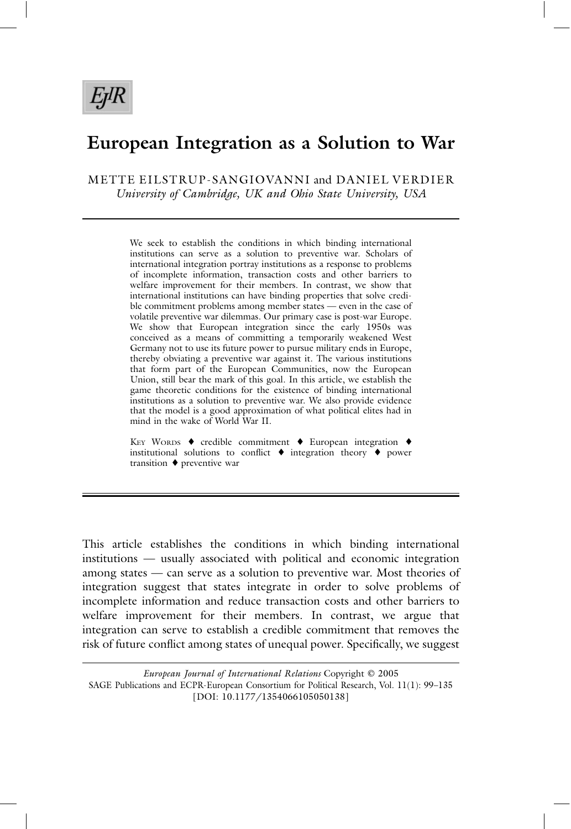Ejir

# **European Integration as a Solution to War**

METTE EILSTRUP-SANGIOVANNI and DANIEL VERDIER *University of Cambridge, UK and Ohio State University, USA*

> We seek to establish the conditions in which binding international institutions can serve as a solution to preventive war. Scholars of international integration portray institutions as a response to problems of incomplete information, transaction costs and other barriers to welfare improvement for their members. In contrast, we show that international institutions can have binding properties that solve credible commitment problems among member states — even in the case of volatile preventive war dilemmas. Our primary case is post-war Europe. We show that European integration since the early 1950s was conceived as a means of committing a temporarily weakened West Germany not to use its future power to pursue military ends in Europe, thereby obviating a preventive war against it. The various institutions that form part of the European Communities, now the European Union, still bear the mark of this goal. In this article, we establish the game theoretic conditions for the existence of binding international institutions as a solution to preventive war. We also provide evidence that the model is a good approximation of what political elites had in mind in the wake of World War II.

> KEY WORDS ♦ credible commitment ♦ European integration ♦ institutional solutions to conflict ♦ integration theory ♦ power transition ♦ preventive war

This article establishes the conditions in which binding international institutions — usually associated with political and economic integration among states — can serve as a solution to preventive war. Most theories of integration suggest that states integrate in order to solve problems of incomplete information and reduce transaction costs and other barriers to welfare improvement for their members. In contrast, we argue that integration can serve to establish a credible commitment that removes the risk of future conflict among states of unequal power. Specifically, we suggest

*European Journal of International Relations* Copyright © 2005 SAGE Publications and ECPR-European Consortium for Political Research, Vol. 11(1): 99–135 [DOI: 10.1177/1354066105050138]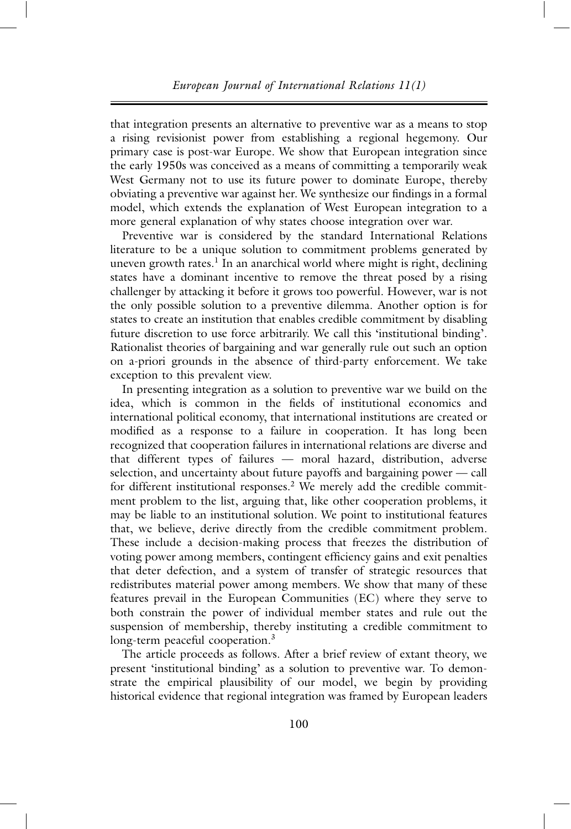that integration presents an alternative to preventive war as a means to stop a rising revisionist power from establishing a regional hegemony. Our primary case is post-war Europe. We show that European integration since the early 1950s was conceived as a means of committing a temporarily weak West Germany not to use its future power to dominate Europe, thereby obviating a preventive war against her. We synthesize our findings in a formal model, which extends the explanation of West European integration to a more general explanation of why states choose integration over war.

Preventive war is considered by the standard International Relations literature to be a unique solution to commitment problems generated by uneven growth rates.<sup>1</sup> In an anarchical world where might is right, declining states have a dominant incentive to remove the threat posed by a rising challenger by attacking it before it grows too powerful. However, war is not the only possible solution to a preventive dilemma. Another option is for states to create an institution that enables credible commitment by disabling future discretion to use force arbitrarily. We call this 'institutional binding'. Rationalist theories of bargaining and war generally rule out such an option on a-priori grounds in the absence of third-party enforcement. We take exception to this prevalent view.

In presenting integration as a solution to preventive war we build on the idea, which is common in the fields of institutional economics and international political economy, that international institutions are created or modified as a response to a failure in cooperation. It has long been recognized that cooperation failures in international relations are diverse and that different types of failures — moral hazard, distribution, adverse selection, and uncertainty about future payoffs and bargaining power — call for different institutional responses.<sup>2</sup> We merely add the credible commitment problem to the list, arguing that, like other cooperation problems, it may be liable to an institutional solution. We point to institutional features that, we believe, derive directly from the credible commitment problem. These include a decision-making process that freezes the distribution of voting power among members, contingent efficiency gains and exit penalties that deter defection, and a system of transfer of strategic resources that redistributes material power among members. We show that many of these features prevail in the European Communities (EC) where they serve to both constrain the power of individual member states and rule out the suspension of membership, thereby instituting a credible commitment to long-term peaceful cooperation.<sup>3</sup>

The article proceeds as follows. After a brief review of extant theory, we present 'institutional binding' as a solution to preventive war. To demonstrate the empirical plausibility of our model, we begin by providing historical evidence that regional integration was framed by European leaders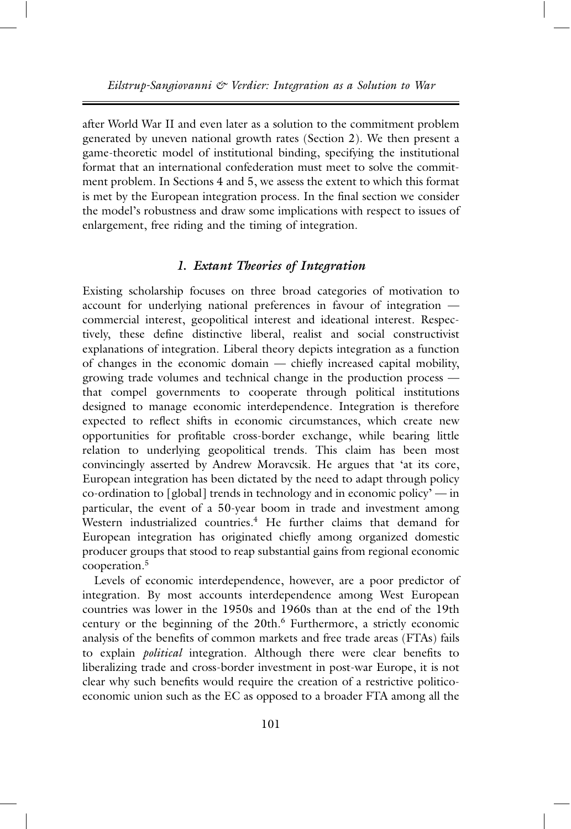after World War II and even later as a solution to the commitment problem generated by uneven national growth rates (Section 2). We then present a game-theoretic model of institutional binding, specifying the institutional format that an international confederation must meet to solve the commitment problem. In Sections 4 and 5, we assess the extent to which this format is met by the European integration process. In the final section we consider the model's robustness and draw some implications with respect to issues of enlargement, free riding and the timing of integration.

# *1. Extant Theories of Integration*

Existing scholarship focuses on three broad categories of motivation to account for underlying national preferences in favour of integration commercial interest, geopolitical interest and ideational interest. Respectively, these define distinctive liberal, realist and social constructivist explanations of integration. Liberal theory depicts integration as a function of changes in the economic domain — chiefly increased capital mobility, growing trade volumes and technical change in the production process that compel governments to cooperate through political institutions designed to manage economic interdependence. Integration is therefore expected to reflect shifts in economic circumstances, which create new opportunities for profitable cross-border exchange, while bearing little relation to underlying geopolitical trends. This claim has been most convincingly asserted by Andrew Moravcsik. He argues that 'at its core, European integration has been dictated by the need to adapt through policy co-ordination to [global] trends in technology and in economic policy' — in particular, the event of a 50-year boom in trade and investment among Western industrialized countries.<sup>4</sup> He further claims that demand for European integration has originated chiefly among organized domestic producer groups that stood to reap substantial gains from regional economic cooperation.<sup>5</sup>

Levels of economic interdependence, however, are a poor predictor of integration. By most accounts interdependence among West European countries was lower in the 1950s and 1960s than at the end of the 19th century or the beginning of the 20th.<sup>6</sup> Furthermore, a strictly economic analysis of the benefits of common markets and free trade areas (FTAs) fails to explain *political* integration. Although there were clear benefits to liberalizing trade and cross-border investment in post-war Europe, it is not clear why such benefits would require the creation of a restrictive politicoeconomic union such as the EC as opposed to a broader FTA among all the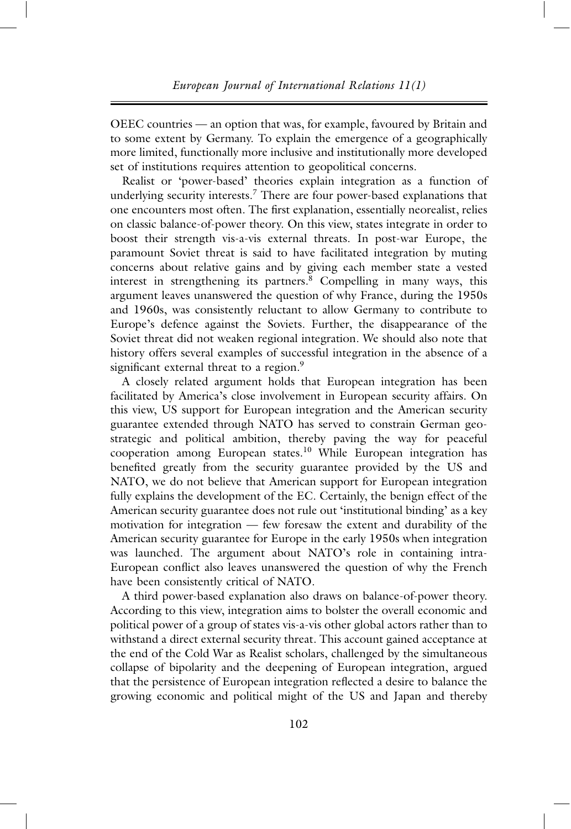OEEC countries — an option that was, for example, favoured by Britain and to some extent by Germany. To explain the emergence of a geographically more limited, functionally more inclusive and institutionally more developed set of institutions requires attention to geopolitical concerns.

Realist or 'power-based' theories explain integration as a function of underlying security interests.<sup>7</sup> There are four power-based explanations that one encounters most often. The first explanation, essentially neorealist, relies on classic balance-of-power theory. On this view, states integrate in order to boost their strength vis-a-vis external threats. In post-war Europe, the paramount Soviet threat is said to have facilitated integration by muting concerns about relative gains and by giving each member state a vested interest in strengthening its partners.<sup>8</sup> Compelling in many ways, this argument leaves unanswered the question of why France, during the 1950s and 1960s, was consistently reluctant to allow Germany to contribute to Europe's defence against the Soviets. Further, the disappearance of the Soviet threat did not weaken regional integration. We should also note that history offers several examples of successful integration in the absence of a significant external threat to a region.<sup>9</sup>

A closely related argument holds that European integration has been facilitated by America's close involvement in European security affairs. On this view, US support for European integration and the American security guarantee extended through NATO has served to constrain German geostrategic and political ambition, thereby paving the way for peaceful cooperation among European states.10 While European integration has benefited greatly from the security guarantee provided by the US and NATO, we do not believe that American support for European integration fully explains the development of the EC. Certainly, the benign effect of the American security guarantee does not rule out 'institutional binding' as a key motivation for integration — few foresaw the extent and durability of the American security guarantee for Europe in the early 1950s when integration was launched. The argument about NATO's role in containing intra-European conflict also leaves unanswered the question of why the French have been consistently critical of NATO.

A third power-based explanation also draws on balance-of-power theory. According to this view, integration aims to bolster the overall economic and political power of a group of states vis-a-vis other global actors rather than to withstand a direct external security threat. This account gained acceptance at the end of the Cold War as Realist scholars, challenged by the simultaneous collapse of bipolarity and the deepening of European integration, argued that the persistence of European integration reflected a desire to balance the growing economic and political might of the US and Japan and thereby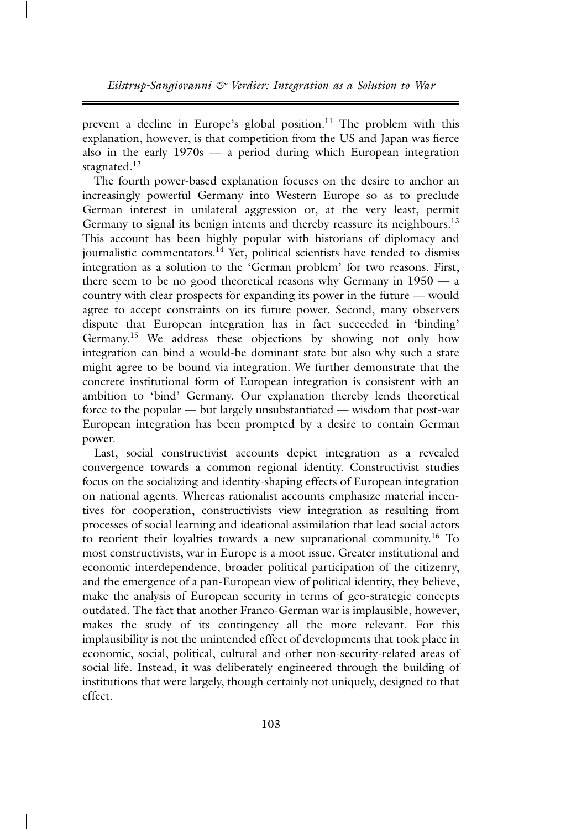prevent a decline in Europe's global position.<sup>11</sup> The problem with this explanation, however, is that competition from the US and Japan was fierce also in the early  $1970s - a$  period during which European integration stagnated.<sup>12</sup>

The fourth power-based explanation focuses on the desire to anchor an increasingly powerful Germany into Western Europe so as to preclude German interest in unilateral aggression or, at the very least, permit Germany to signal its benign intents and thereby reassure its neighbours.<sup>13</sup> This account has been highly popular with historians of diplomacy and journalistic commentators.<sup>14</sup> Yet, political scientists have tended to dismiss integration as a solution to the 'German problem' for two reasons. First, there seem to be no good theoretical reasons why Germany in  $1950 - a$ country with clear prospects for expanding its power in the future — would agree to accept constraints on its future power. Second, many observers dispute that European integration has in fact succeeded in 'binding' Germany. <sup>15</sup> We address these objections by showing not only how integration can bind a would-be dominant state but also why such a state might agree to be bound via integration. We further demonstrate that the concrete institutional form of European integration is consistent with an ambition to 'bind' Germany. Our explanation thereby lends theoretical force to the popular — but largely unsubstantiated — wisdom that post-war European integration has been prompted by a desire to contain German power.

Last, social constructivist accounts depict integration as a revealed convergence towards a common regional identity. Constructivist studies focus on the socializing and identity-shaping effects of European integration on national agents. Whereas rationalist accounts emphasize material incentives for cooperation, constructivists view integration as resulting from processes of social learning and ideational assimilation that lead social actors to reorient their loyalties towards a new supranational community. <sup>16</sup> To most constructivists, war in Europe is a moot issue. Greater institutional and economic interdependence, broader political participation of the citizenry, and the emergence of a pan-European view of political identity, they believe, make the analysis of European security in terms of geo-strategic concepts outdated. The fact that another Franco-German war is implausible, however, makes the study of its contingency all the more relevant. For this implausibility is not the unintended effect of developments that took place in economic, social, political, cultural and other non-security-related areas of social life. Instead, it was deliberately engineered through the building of institutions that were largely, though certainly not uniquely, designed to that effect.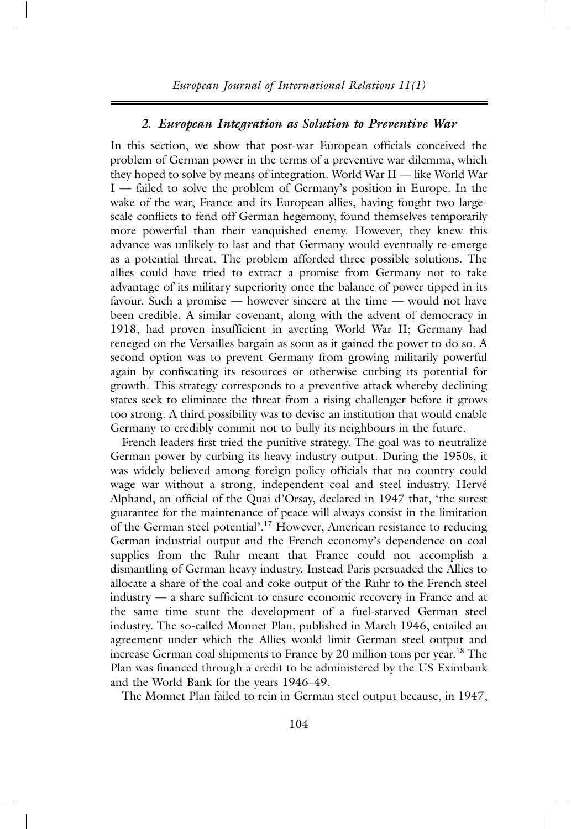# *2. European Integration as Solution to Preventive War*

In this section, we show that post-war European officials conceived the problem of German power in the terms of a preventive war dilemma, which they hoped to solve by means of integration. World War II — like World War I — failed to solve the problem of Germany's position in Europe. In the wake of the war, France and its European allies, having fought two largescale conflicts to fend off German hegemony, found themselves temporarily more powerful than their vanquished enemy. However, they knew this advance was unlikely to last and that Germany would eventually re-emerge as a potential threat. The problem afforded three possible solutions. The allies could have tried to extract a promise from Germany not to take advantage of its military superiority once the balance of power tipped in its favour. Such a promise — however sincere at the time — would not have been credible. A similar covenant, along with the advent of democracy in 1918, had proven insufficient in averting World War II; Germany had reneged on the Versailles bargain as soon as it gained the power to do so. A second option was to prevent Germany from growing militarily powerful again by confiscating its resources or otherwise curbing its potential for growth. This strategy corresponds to a preventive attack whereby declining states seek to eliminate the threat from a rising challenger before it grows too strong. A third possibility was to devise an institution that would enable Germany to credibly commit not to bully its neighbours in the future.

French leaders first tried the punitive strategy. The goal was to neutralize German power by curbing its heavy industry output. During the 1950s, it was widely believed among foreign policy officials that no country could wage war without a strong, independent coal and steel industry. Hervé Alphand, an official of the Quai d'Orsay, declared in 1947 that, 'the surest guarantee for the maintenance of peace will always consist in the limitation of the German steel potential'.17 However, American resistance to reducing German industrial output and the French economy's dependence on coal supplies from the Ruhr meant that France could not accomplish a dismantling of German heavy industry. Instead Paris persuaded the Allies to allocate a share of the coal and coke output of the Ruhr to the French steel industry — a share sufficient to ensure economic recovery in France and at the same time stunt the development of a fuel-starved German steel industry. The so-called Monnet Plan, published in March 1946, entailed an agreement under which the Allies would limit German steel output and increase German coal shipments to France by 20 million tons per year. <sup>18</sup> The Plan was financed through a credit to be administered by the US Eximbank and the World Bank for the years 1946–49.

The Monnet Plan failed to rein in German steel output because, in 1947,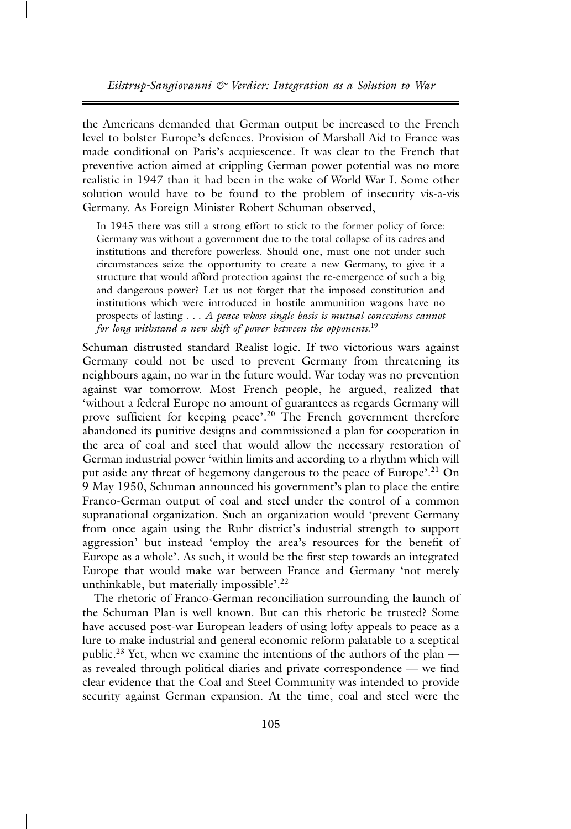the Americans demanded that German output be increased to the French level to bolster Europe's defences. Provision of Marshall Aid to France was made conditional on Paris's acquiescence. It was clear to the French that preventive action aimed at crippling German power potential was no more realistic in 1947 than it had been in the wake of World War I. Some other solution would have to be found to the problem of insecurity vis-a-vis Germany. As Foreign Minister Robert Schuman observed,

In 1945 there was still a strong effort to stick to the former policy of force: Germany was without a government due to the total collapse of its cadres and institutions and therefore powerless. Should one, must one not under such circumstances seize the opportunity to create a new Germany, to give it a structure that would afford protection against the re-emergence of such a big and dangerous power? Let us not forget that the imposed constitution and institutions which were introduced in hostile ammunition wagons have no prospects of lasting . . . *A peace whose single basis is mutual concessions cannot for long withstand a new shift of power between the opponents*. 19

Schuman distrusted standard Realist logic. If two victorious wars against Germany could not be used to prevent Germany from threatening its neighbours again, no war in the future would. War today was no prevention against war tomorrow. Most French people, he argued, realized that 'without a federal Europe no amount of guarantees as regards Germany will prove sufficient for keeping peace'.<sup>20</sup> The French government therefore abandoned its punitive designs and commissioned a plan for cooperation in the area of coal and steel that would allow the necessary restoration of German industrial power 'within limits and according to a rhythm which will put aside any threat of hegemony dangerous to the peace of Europe'.<sup>21</sup> On 9 May 1950, Schuman announced his government's plan to place the entire Franco-German output of coal and steel under the control of a common supranational organization. Such an organization would 'prevent Germany from once again using the Ruhr district's industrial strength to support aggression' but instead 'employ the area's resources for the benefit of Europe as a whole'. As such, it would be the first step towards an integrated Europe that would make war between France and Germany 'not merely unthinkable, but materially impossible'.<sup>22</sup>

The rhetoric of Franco-German reconciliation surrounding the launch of the Schuman Plan is well known. But can this rhetoric be trusted? Some have accused post-war European leaders of using lofty appeals to peace as a lure to make industrial and general economic reform palatable to a sceptical public.<sup>23</sup> Yet, when we examine the intentions of the authors of the plan as revealed through political diaries and private correspondence — we find clear evidence that the Coal and Steel Community was intended to provide security against German expansion. At the time, coal and steel were the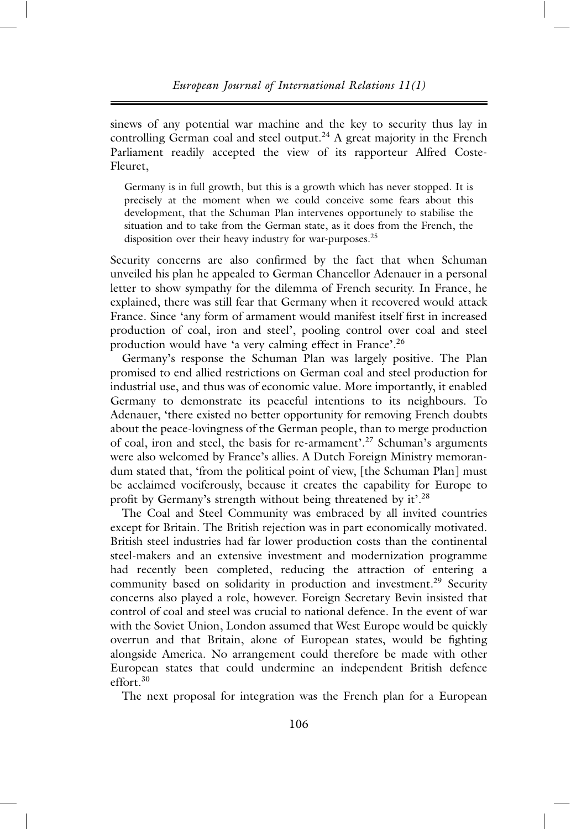sinews of any potential war machine and the key to security thus lay in controlling German coal and steel output.<sup>24</sup> A great majority in the French Parliament readily accepted the view of its rapporteur Alfred Coste-Fleuret,

Germany is in full growth, but this is a growth which has never stopped. It is precisely at the moment when we could conceive some fears about this development, that the Schuman Plan intervenes opportunely to stabilise the situation and to take from the German state, as it does from the French, the disposition over their heavy industry for war-purposes.<sup>25</sup>

Security concerns are also confirmed by the fact that when Schuman unveiled his plan he appealed to German Chancellor Adenauer in a personal letter to show sympathy for the dilemma of French security. In France, he explained, there was still fear that Germany when it recovered would attack France. Since 'any form of armament would manifest itself first in increased production of coal, iron and steel', pooling control over coal and steel production would have 'a very calming effect in France'.<sup>26</sup>

Germany's response the Schuman Plan was largely positive. The Plan promised to end allied restrictions on German coal and steel production for industrial use, and thus was of economic value. More importantly, it enabled Germany to demonstrate its peaceful intentions to its neighbours. To Adenauer, 'there existed no better opportunity for removing French doubts about the peace-lovingness of the German people, than to merge production of coal, iron and steel, the basis for re-armament'.27 Schuman's arguments were also welcomed by France's allies. A Dutch Foreign Ministry memorandum stated that, 'from the political point of view, [the Schuman Plan] must be acclaimed vociferously, because it creates the capability for Europe to profit by Germany's strength without being threatened by it'.28

The Coal and Steel Community was embraced by all invited countries except for Britain. The British rejection was in part economically motivated. British steel industries had far lower production costs than the continental steel-makers and an extensive investment and modernization programme had recently been completed, reducing the attraction of entering a community based on solidarity in production and investment.<sup>29</sup> Security concerns also played a role, however. Foreign Secretary Bevin insisted that control of coal and steel was crucial to national defence. In the event of war with the Soviet Union, London assumed that West Europe would be quickly overrun and that Britain, alone of European states, would be fighting alongside America. No arrangement could therefore be made with other European states that could undermine an independent British defence effort.<sup>30</sup>

The next proposal for integration was the French plan for a European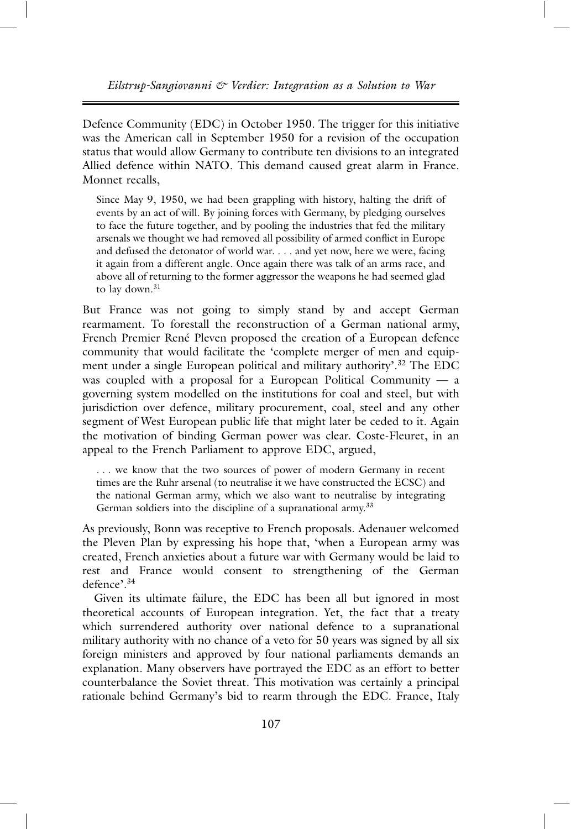Defence Community (EDC) in October 1950. The trigger for this initiative was the American call in September 1950 for a revision of the occupation status that would allow Germany to contribute ten divisions to an integrated Allied defence within NATO. This demand caused great alarm in France. Monnet recalls,

Since May 9, 1950, we had been grappling with history, halting the drift of events by an act of will. By joining forces with Germany, by pledging ourselves to face the future together, and by pooling the industries that fed the military arsenals we thought we had removed all possibility of armed conflict in Europe and defused the detonator of world war. . . . and yet now, here we were, facing it again from a different angle. Once again there was talk of an arms race, and above all of returning to the former aggressor the weapons he had seemed glad to lay down.<sup>31</sup>

But France was not going to simply stand by and accept German rearmament. To forestall the reconstruction of a German national army, French Premier René Pleven proposed the creation of a European defence community that would facilitate the 'complete merger of men and equipment under a single European political and military authority'.32 The EDC was coupled with a proposal for a European Political Community  $-$  a governing system modelled on the institutions for coal and steel, but with jurisdiction over defence, military procurement, coal, steel and any other segment of West European public life that might later be ceded to it. Again the motivation of binding German power was clear. Coste-Fleuret, in an appeal to the French Parliament to approve EDC, argued,

. . . we know that the two sources of power of modern Germany in recent times are the Ruhr arsenal (to neutralise it we have constructed the ECSC) and the national German army, which we also want to neutralise by integrating German soldiers into the discipline of a supranational army.<sup>33</sup>

As previously, Bonn was receptive to French proposals. Adenauer welcomed the Pleven Plan by expressing his hope that, 'when a European army was created, French anxieties about a future war with Germany would be laid to rest and France would consent to strengthening of the German defence'.34

Given its ultimate failure, the EDC has been all but ignored in most theoretical accounts of European integration. Yet, the fact that a treaty which surrendered authority over national defence to a supranational military authority with no chance of a veto for 50 years was signed by all six foreign ministers and approved by four national parliaments demands an explanation. Many observers have portrayed the EDC as an effort to better counterbalance the Soviet threat. This motivation was certainly a principal rationale behind Germany's bid to rearm through the EDC. France, Italy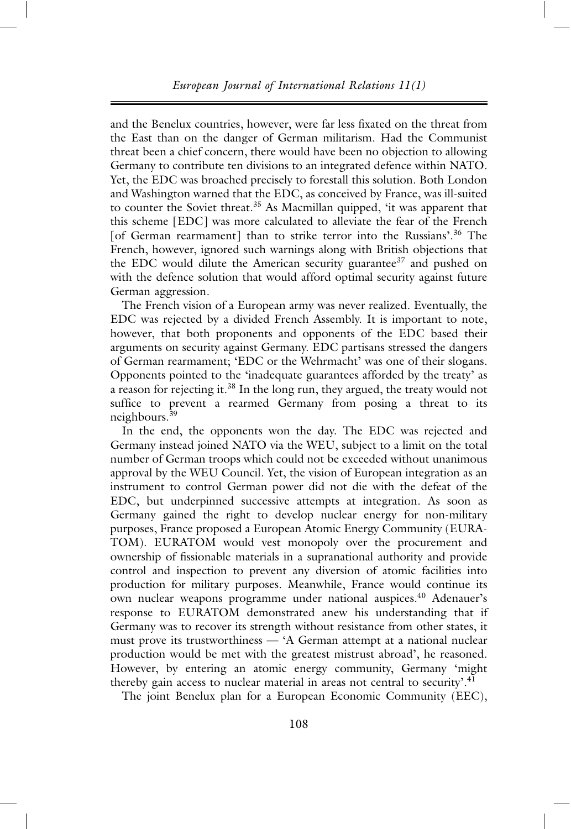and the Benelux countries, however, were far less fixated on the threat from the East than on the danger of German militarism. Had the Communist threat been a chief concern, there would have been no objection to allowing Germany to contribute ten divisions to an integrated defence within NATO. Yet, the EDC was broached precisely to forestall this solution. Both London and Washington warned that the EDC, as conceived by France, was ill-suited to counter the Soviet threat.<sup>35</sup> As Macmillan quipped, 'it was apparent that this scheme [EDC] was more calculated to alleviate the fear of the French [of German rearmament] than to strike terror into the Russians'.<sup>36</sup> The French, however, ignored such warnings along with British objections that the EDC would dilute the American security guarantee<sup>37</sup> and pushed on with the defence solution that would afford optimal security against future German aggression.

The French vision of a European army was never realized. Eventually, the EDC was rejected by a divided French Assembly. It is important to note, however, that both proponents and opponents of the EDC based their arguments on security against Germany. EDC partisans stressed the dangers of German rearmament; 'EDC or the Wehrmacht' was one of their slogans. Opponents pointed to the 'inadequate guarantees afforded by the treaty' as a reason for rejecting it.38 In the long run, they argued, the treaty would not suffice to prevent a rearmed Germany from posing a threat to its neighbours.39

In the end, the opponents won the day. The EDC was rejected and Germany instead joined NATO via the WEU, subject to a limit on the total number of German troops which could not be exceeded without unanimous approval by the WEU Council. Yet, the vision of European integration as an instrument to control German power did not die with the defeat of the EDC, but underpinned successive attempts at integration. As soon as Germany gained the right to develop nuclear energy for non-military purposes, France proposed a European Atomic Energy Community (EURA-TOM). EURATOM would vest monopoly over the procurement and ownership of fissionable materials in a supranational authority and provide control and inspection to prevent any diversion of atomic facilities into production for military purposes. Meanwhile, France would continue its own nuclear weapons programme under national auspices.40 Adenauer's response to EURATOM demonstrated anew his understanding that if Germany was to recover its strength without resistance from other states, it must prove its trustworthiness — 'A German attempt at a national nuclear production would be met with the greatest mistrust abroad', he reasoned. However, by entering an atomic energy community, Germany 'might thereby gain access to nuclear material in areas not central to security'.<sup>41</sup>

The joint Benelux plan for a European Economic Community (EEC),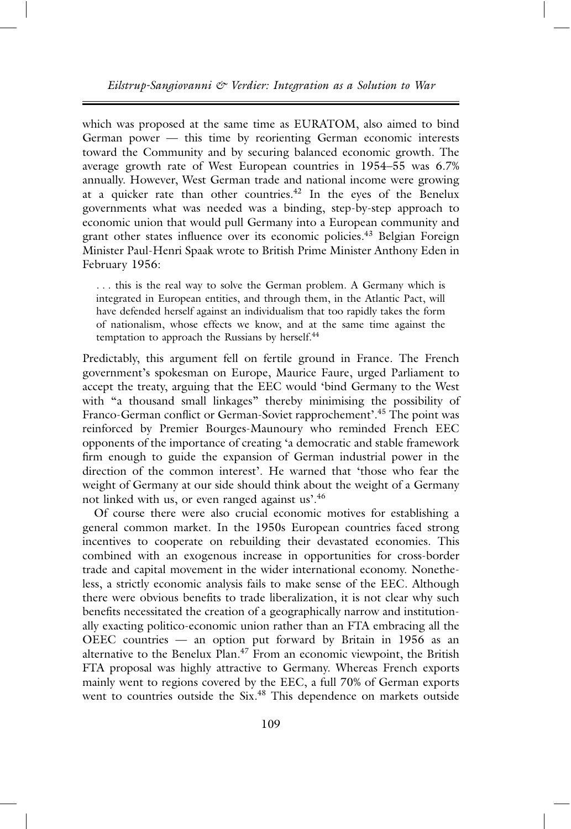which was proposed at the same time as EURATOM, also aimed to bind German power — this time by reorienting German economic interests toward the Community and by securing balanced economic growth. The average growth rate of West European countries in 1954–55 was 6.7% annually. However, West German trade and national income were growing at a quicker rate than other countries.<sup>42</sup> In the eyes of the Benelux governments what was needed was a binding, step-by-step approach to economic union that would pull Germany into a European community and grant other states influence over its economic policies.<sup>43</sup> Belgian Foreign Minister Paul-Henri Spaak wrote to British Prime Minister Anthony Eden in February 1956:

. . . this is the real way to solve the German problem. A Germany which is integrated in European entities, and through them, in the Atlantic Pact, will have defended herself against an individualism that too rapidly takes the form of nationalism, whose effects we know, and at the same time against the temptation to approach the Russians by herself.<sup>44</sup>

Predictably, this argument fell on fertile ground in France. The French government's spokesman on Europe, Maurice Faure, urged Parliament to accept the treaty, arguing that the EEC would 'bind Germany to the West with "a thousand small linkages" thereby minimising the possibility of Franco-German conflict or German-Soviet rapprochement'.<sup>45</sup> The point was reinforced by Premier Bourges-Maunoury who reminded French EEC opponents of the importance of creating 'a democratic and stable framework firm enough to guide the expansion of German industrial power in the direction of the common interest'. He warned that 'those who fear the weight of Germany at our side should think about the weight of a Germany not linked with us, or even ranged against us'.46

Of course there were also crucial economic motives for establishing a general common market. In the 1950s European countries faced strong incentives to cooperate on rebuilding their devastated economies. This combined with an exogenous increase in opportunities for cross-border trade and capital movement in the wider international economy. Nonetheless, a strictly economic analysis fails to make sense of the EEC. Although there were obvious benefits to trade liberalization, it is not clear why such benefits necessitated the creation of a geographically narrow and institutionally exacting politico-economic union rather than an FTA embracing all the OEEC countries — an option put forward by Britain in 1956 as an alternative to the Benelux Plan. $47$  From an economic viewpoint, the British FTA proposal was highly attractive to Germany. Whereas French exports mainly went to regions covered by the EEC, a full 70% of German exports went to countries outside the Six.<sup>48</sup> This dependence on markets outside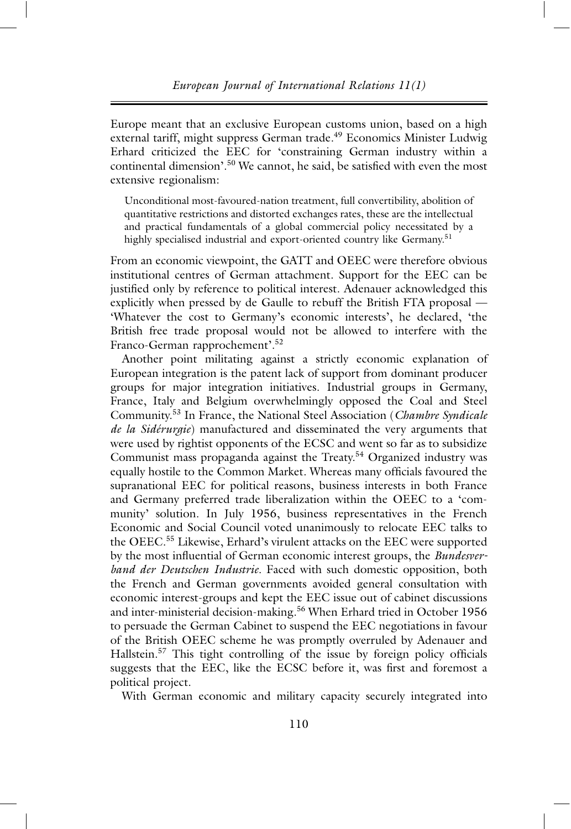Europe meant that an exclusive European customs union, based on a high external tariff, might suppress German trade.<sup>49</sup> Economics Minister Ludwig Erhard criticized the EEC for 'constraining German industry within a continental dimension'.<sup>50</sup> We cannot, he said, be satisfied with even the most extensive regionalism:

Unconditional most-favoured-nation treatment, full convertibility, abolition of quantitative restrictions and distorted exchanges rates, these are the intellectual and practical fundamentals of a global commercial policy necessitated by a highly specialised industrial and export-oriented country like Germany.<sup>51</sup>

From an economic viewpoint, the GATT and OEEC were therefore obvious institutional centres of German attachment. Support for the EEC can be justified only by reference to political interest. Adenauer acknowledged this explicitly when pressed by de Gaulle to rebuff the British FTA proposal — 'Whatever the cost to Germany's economic interests', he declared, 'the British free trade proposal would not be allowed to interfere with the Franco-German rapprochement'.52

Another point militating against a strictly economic explanation of European integration is the patent lack of support from dominant producer groups for major integration initiatives. Industrial groups in Germany, France, Italy and Belgium overwhelmingly opposed the Coal and Steel Community. <sup>53</sup> In France, the National Steel Association (*Chambre Syndicale de la Sidérurgie*) manufactured and disseminated the very arguments that were used by rightist opponents of the ECSC and went so far as to subsidize Communist mass propaganda against the Treaty.<sup>54</sup> Organized industry was equally hostile to the Common Market. Whereas many officials favoured the supranational EEC for political reasons, business interests in both France and Germany preferred trade liberalization within the OEEC to a 'community' solution. In July 1956, business representatives in the French Economic and Social Council voted unanimously to relocate EEC talks to the OEEC.<sup>55</sup> Likewise, Erhard's virulent attacks on the EEC were supported by the most influential of German economic interest groups, the *Bundesverband der Deutschen Industrie*. Faced with such domestic opposition, both the French and German governments avoided general consultation with economic interest-groups and kept the EEC issue out of cabinet discussions and inter-ministerial decision-making.<sup>56</sup> When Erhard tried in October 1956 to persuade the German Cabinet to suspend the EEC negotiations in favour of the British OEEC scheme he was promptly overruled by Adenauer and Hallstein.<sup>57</sup> This tight controlling of the issue by foreign policy officials suggests that the EEC, like the ECSC before it, was first and foremost a political project.

With German economic and military capacity securely integrated into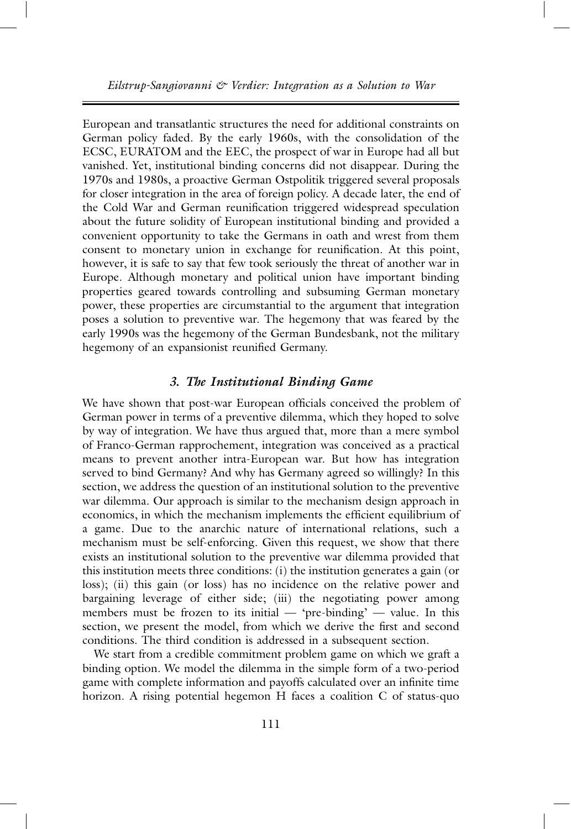European and transatlantic structures the need for additional constraints on German policy faded. By the early 1960s, with the consolidation of the ECSC, EURATOM and the EEC, the prospect of war in Europe had all but vanished. Yet, institutional binding concerns did not disappear. During the 1970s and 1980s, a proactive German Ostpolitik triggered several proposals for closer integration in the area of foreign policy. A decade later, the end of the Cold War and German reunification triggered widespread speculation about the future solidity of European institutional binding and provided a convenient opportunity to take the Germans in oath and wrest from them consent to monetary union in exchange for reunification. At this point, however, it is safe to say that few took seriously the threat of another war in Europe. Although monetary and political union have important binding properties geared towards controlling and subsuming German monetary power, these properties are circumstantial to the argument that integration poses a solution to preventive war. The hegemony that was feared by the early 1990s was the hegemony of the German Bundesbank, not the military hegemony of an expansionist reunified Germany.

### *3. The Institutional Binding Game*

We have shown that post-war European officials conceived the problem of German power in terms of a preventive dilemma, which they hoped to solve by way of integration. We have thus argued that, more than a mere symbol of Franco-German rapprochement, integration was conceived as a practical means to prevent another intra-European war. But how has integration served to bind Germany? And why has Germany agreed so willingly? In this section, we address the question of an institutional solution to the preventive war dilemma. Our approach is similar to the mechanism design approach in economics, in which the mechanism implements the efficient equilibrium of a game. Due to the anarchic nature of international relations, such a mechanism must be self-enforcing. Given this request, we show that there exists an institutional solution to the preventive war dilemma provided that this institution meets three conditions: (i) the institution generates a gain (or loss); (ii) this gain (or loss) has no incidence on the relative power and bargaining leverage of either side; (iii) the negotiating power among members must be frozen to its initial — 'pre-binding' — value. In this section, we present the model, from which we derive the first and second conditions. The third condition is addressed in a subsequent section.

We start from a credible commitment problem game on which we graft a binding option. We model the dilemma in the simple form of a two-period game with complete information and payoffs calculated over an infinite time horizon. A rising potential hegemon H faces a coalition C of status-quo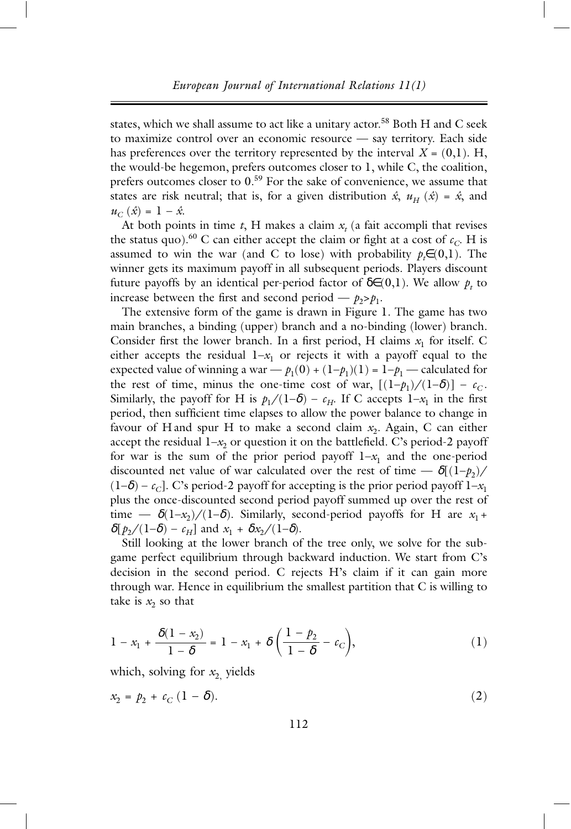states, which we shall assume to act like a unitary actor. $^{58}$  Both H and C seek to maximize control over an economic resource — say territory. Each side has preferences over the territory represented by the interval  $X = (0,1)$ . H, the would-be hegemon, prefers outcomes closer to 1, while C, the coalition, prefers outcomes closer to 0.<sup>59</sup> For the sake of convenience, we assume that states are risk neutral; that is, for a given distribution  $\hat{x}$ ,  $u_H(\hat{x}) = \hat{x}$ , and  $u_C(\hat{x}) = 1 - \hat{x}$ .

At both points in time  $t$ , H makes a claim  $x_t$  (a fait accompli that revises the status quo).<sup>60</sup> C can either accept the claim or fight at a cost of  $c_C$ . H is assumed to win the war (and C to lose) with probability  $p_t \in (0,1)$ . The winner gets its maximum payoff in all subsequent periods. Players discount future payoffs by an identical per-period factor of  $\delta \in (0,1)$ . We allow  $p_t$  to increase between the first and second period —  $p_2 > p_1$ .

The extensive form of the game is drawn in Figure 1. The game has two main branches, a binding (upper) branch and a no-binding (lower) branch. Consider first the lower branch. In a first period, H claims  $x_1$  for itself. C either accepts the residual  $1-x_1$  or rejects it with a payoff equal to the expected value of winning a war  $-p_1(0) + (1-p_1)(1) = 1-p_1$  — calculated for the rest of time, minus the one-time cost of war,  $[(1-p_1)/(1-\delta)] - c_C$ . Similarly, the payoff for H is  $p_1/(1-\delta) - c_H$ . If C accepts  $1-x_1$  in the first period, then sufficient time elapses to allow the power balance to change in favour of H and spur H to make a second claim  $x_2$ . Again, C can either accept the residual  $1-x_2$  or question it on the battlefield. C's period-2 payoff for war is the sum of the prior period payoff  $1-x_1$  and the one-period discounted net value of war calculated over the rest of time  $-\delta[(1-p_2)/\delta]$  $(1-\delta) - c_c$ ]. C's period-2 payoff for accepting is the prior period payoff  $1-x_1$ plus the once-discounted second period payoff summed up over the rest of time  $-\delta(1-x_2)/(1-\delta)$ . Similarly, second-period payoffs for H are  $x_1 +$  $\delta[p_2/(1-\delta) - c_H]$  and  $x_1 + \delta x_2/(1-\delta)$ .

Still looking at the lower branch of the tree only, we solve for the subgame perfect equilibrium through backward induction. We start from C's decision in the second period. C rejects H's claim if it can gain more through war. Hence in equilibrium the smallest partition that C is willing to take is  $x_2$  so that

$$
1 - x_1 + \frac{\delta(1 - x_2)}{1 - \delta} = 1 - x_1 + \delta\left(\frac{1 - p_2}{1 - \delta} - c_C\right),
$$
 (1)

which, solving for  $x_2$  yields

$$
x_2 = p_2 + c_C (1 - \delta). \tag{2}
$$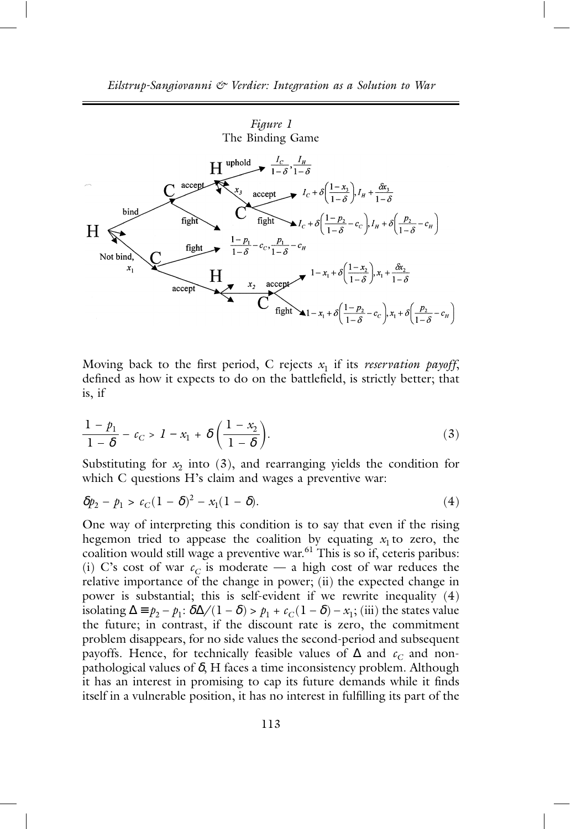

Moving back to the first period, C rejects  $x_1$  if its *reservation payoff*, defined as how it expects to do on the battlefield, is strictly better; that is, if

$$
\frac{1-p_1}{1-\delta} - c_C > 1 - x_1 + \delta \left( \frac{1-x_2}{1-\delta} \right).
$$
 (3)

Substituting for  $x_2$  into (3), and rearranging yields the condition for which C questions H's claim and wages a preventive war:

$$
\delta p_2 - p_1 > c_C (1 - \delta)^2 - x_1 (1 - \delta).
$$
 (4)

One way of interpreting this condition is to say that even if the rising hegemon tried to appease the coalition by equating  $x_1$  to zero, the coalition would still wage a preventive war. <sup>61</sup> This is so if, ceteris paribus: (i) C's cost of war  $c_C$  is moderate — a high cost of war reduces the relative importance of the change in power; (ii) the expected change in power is substantial; this is self-evident if we rewrite inequality (4) isolating  $\Delta = p_2 - p_1$ :  $\delta\Delta/(1 - \delta) > p_1 + c_C(1 - \delta) - x_1$ ; (iii) the states value the future; in contrast, if the discount rate is zero, the commitment problem disappears, for no side values the second-period and subsequent payoffs. Hence, for technically feasible values of  $\Delta$  and  $c_C$  and nonpathological values of  $\delta$ , H faces a time inconsistency problem. Although it has an interest in promising to cap its future demands while it finds itself in a vulnerable position, it has no interest in fulfilling its part of the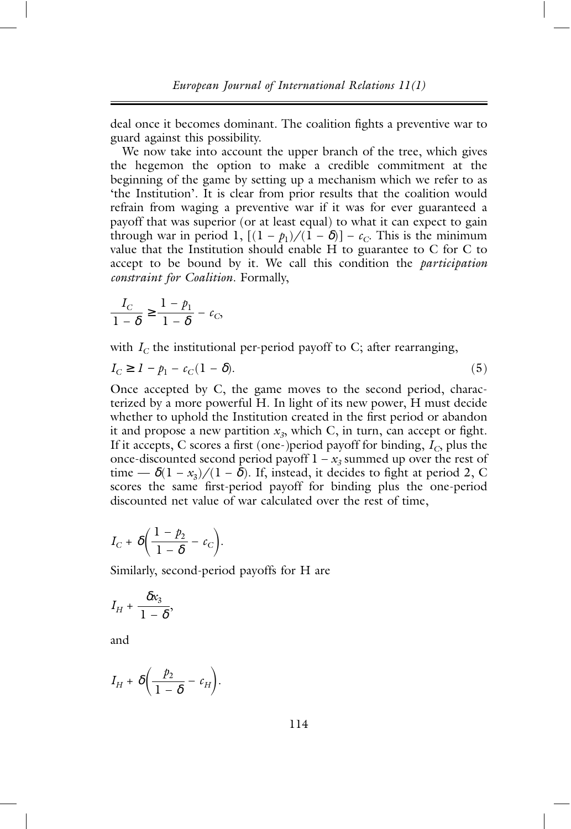deal once it becomes dominant. The coalition fights a preventive war to guard against this possibility.

We now take into account the upper branch of the tree, which gives the hegemon the option to make a credible commitment at the beginning of the game by setting up a mechanism which we refer to as 'the Institution'. It is clear from prior results that the coalition would refrain from waging a preventive war if it was for ever guaranteed a payoff that was superior (or at least equal) to what it can expect to gain through war in period 1,  $[(1 - p_1)/(1 - \delta)] - c_C$ . This is the minimum value that the Institution should enable H to guarantee to C for C to accept to be bound by it. We call this condition the *participation constraint for Coalition*. Formally,

$$
\frac{I_C}{1-\delta} \ge \frac{1-\cancel{p}_1}{1-\delta} - c_C,
$$

with  $I_c$  the institutional per-period payoff to C; after rearranging,

$$
I_C \geq 1 - p_1 - c_C(1 - \delta). \tag{5}
$$

Once accepted by C, the game moves to the second period, characterized by a more powerful H. In light of its new power, H must decide whether to uphold the Institution created in the first period or abandon it and propose a new partition  $x_3$ , which C, in turn, can accept or fight. If it accepts, C scores a first (one-)period payoff for binding,  $I_c$ , plus the once-discounted second period payoff  $1 - x_3$  summed up over the rest of time —  $\delta(1-x_1)/(1-\delta)$ . If, instead, it decides to fight at period 2, C scores the same first-period payoff for binding plus the one-period discounted net value of war calculated over the rest of time,

$$
I_C + \delta \bigg( \frac{1 - p_2}{1 - \delta} - c_C \bigg).
$$

Similarly, second-period payoffs for H are

$$
I_H + \frac{\delta x_3}{1-\delta},
$$

and

$$
I_H + \delta \bigg( \frac{p_2}{1-\delta} - c_H \bigg).
$$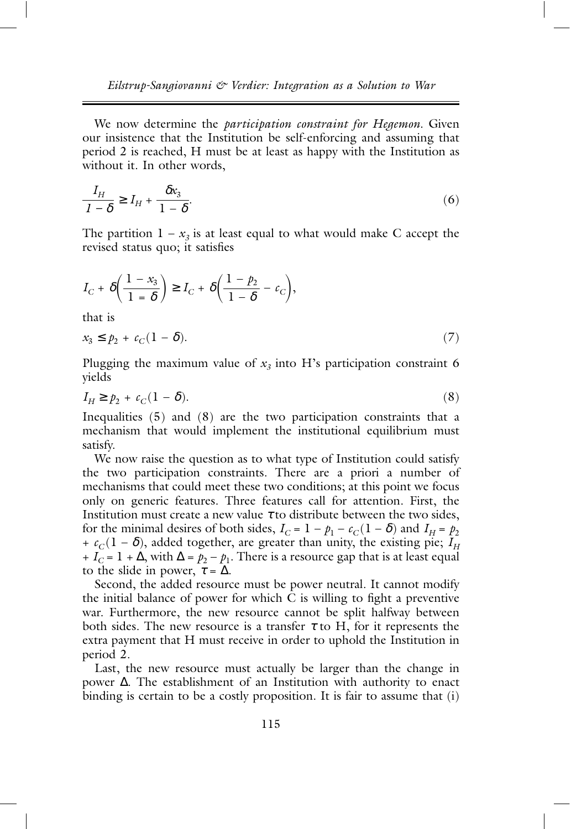We now determine the *participation constraint for Hegemon*. Given our insistence that the Institution be self-enforcing and assuming that period 2 is reached, H must be at least as happy with the Institution as without it. In other words,

$$
\frac{I_H}{1-\delta} \ge I_H + \frac{\delta x_3}{1-\delta}.\tag{6}
$$

The partition  $1 - x_3$  is at least equal to what would make C accept the revised status quo; it satisfies

$$
I_C + \delta \left( \frac{1 - x_3}{1 - \delta} \right) \geq I_C + \delta \left( \frac{1 - p_2}{1 - \delta} - c_C \right),
$$

that is

$$
x_3 \le p_2 + c_C(1 - \delta). \tag{7}
$$

Plugging the maximum value of  $x_3$  into H's participation constraint 6 yields

$$
I_H \ge p_2 + c_C(1 - \delta). \tag{8}
$$

Inequalities (5) and (8) are the two participation constraints that a mechanism that would implement the institutional equilibrium must satisfy.

We now raise the question as to what type of Institution could satisfy the two participation constraints. There are a priori a number of mechanisms that could meet these two conditions; at this point we focus only on generic features. Three features call for attention. First, the Institution must create a new value  $\tau$  to distribute between the two sides, for the minimal desires of both sides,  $I_C = 1 - p_1 - c_C(1 - \delta)$  and  $I_H = p_2$ +  $c_C$ (1 –  $\delta$ ), added together, are greater than unity, the existing pie;  $I_H$ +  $I_C$  = 1 +  $\Delta$ , with  $\Delta = p_2 - p_1$ . There is a resource gap that is at least equal to the slide in power,  $\tau = \Delta$ .

Second, the added resource must be power neutral. It cannot modify the initial balance of power for which C is willing to fight a preventive war. Furthermore, the new resource cannot be split halfway between both sides. The new resource is a transfer  $\tau$  to H, for it represents the extra payment that H must receive in order to uphold the Institution in period 2.

Last, the new resource must actually be larger than the change in power ∆. The establishment of an Institution with authority to enact binding is certain to be a costly proposition. It is fair to assume that (i)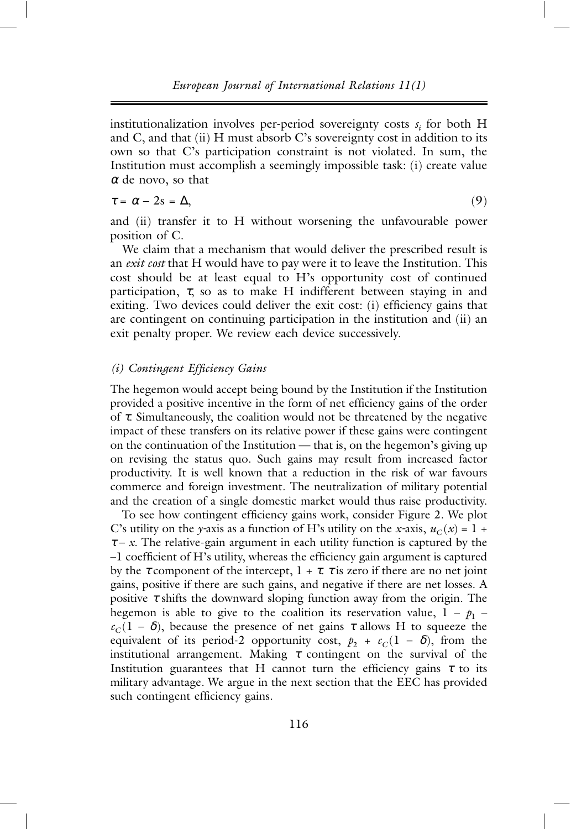institutionalization involves per-period sovereignty costs  $s_i$  for both H and C, and that (ii) H must absorb C's sovereignty cost in addition to its own so that C's participation constraint is not violated. In sum, the Institution must accomplish a seemingly impossible task: (i) create value  $\alpha$  de novo, so that

$$
\tau = \alpha - 2s = \Delta,\tag{9}
$$

and (ii) transfer it to H without worsening the unfavourable power position of C.

We claim that a mechanism that would deliver the prescribed result is an *exit cost* that H would have to pay were it to leave the Institution. This cost should be at least equal to H's opportunity cost of continued participation,  $\tau$ , so as to make H indifferent between staying in and exiting. Two devices could deliver the exit cost: (i) efficiency gains that are contingent on continuing participation in the institution and (ii) an exit penalty proper. We review each device successively.

### *(i) Contingent Efficiency Gains*

The hegemon would accept being bound by the Institution if the Institution provided a positive incentive in the form of net efficiency gains of the order of  $\tau$ . Simultaneously, the coalition would not be threatened by the negative impact of these transfers on its relative power if these gains were contingent on the continuation of the Institution — that is, on the hegemon's giving up on revising the status quo. Such gains may result from increased factor productivity. It is well known that a reduction in the risk of war favours commerce and foreign investment. The neutralization of military potential and the creation of a single domestic market would thus raise productivity.

To see how contingent efficiency gains work, consider Figure 2. We plot C's utility on the *y*-axis as a function of H's utility on the *x*-axis,  $u_C(x) = 1 +$  $\tau - x$ . The relative-gain argument in each utility function is captured by the –1 coefficient of H's utility, whereas the efficiency gain argument is captured by the  $\tau$  component of the intercept,  $1 + \tau$ .  $\tau$  is zero if there are no net joint gains, positive if there are such gains, and negative if there are net losses. A positive  $\tau$  shifts the downward sloping function away from the origin. The hegemon is able to give to the coalition its reservation value,  $1 - p_1$  –  $c_C(1 - \delta)$ , because the presence of net gains  $\tau$  allows H to squeeze the equivalent of its period-2 opportunity cost,  $p_2 + c_C(1 - \delta)$ , from the institutional arrangement. Making  $\tau$  contingent on the survival of the Institution guarantees that H cannot turn the efficiency gains  $\tau$  to its military advantage. We argue in the next section that the EEC has provided such contingent efficiency gains.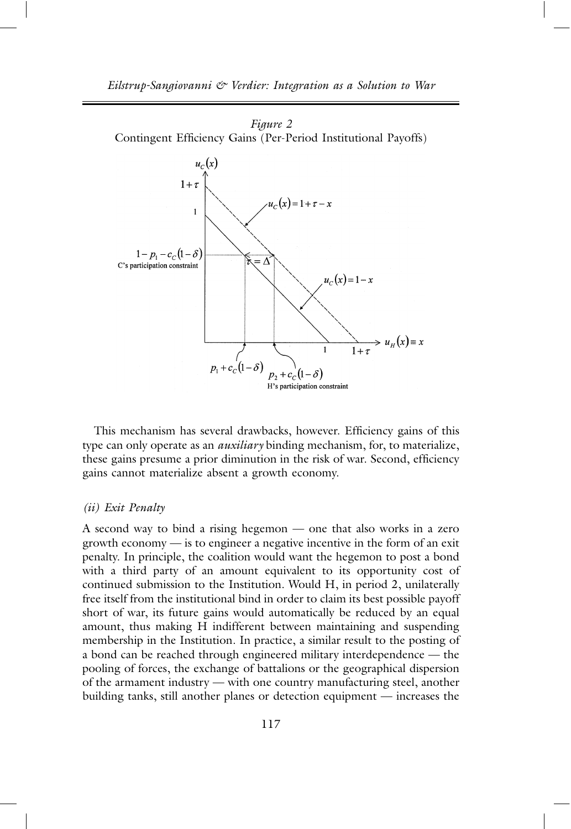

This mechanism has several drawbacks, however. Efficiency gains of this type can only operate as an *auxiliary* binding mechanism, for, to materialize, these gains presume a prior diminution in the risk of war. Second, efficiency gains cannot materialize absent a growth economy.

## *(ii) Exit Penalty*

A second way to bind a rising hegemon — one that also works in a zero growth economy — is to engineer a negative incentive in the form of an exit penalty. In principle, the coalition would want the hegemon to post a bond with a third party of an amount equivalent to its opportunity cost of continued submission to the Institution. Would H, in period 2, unilaterally free itself from the institutional bind in order to claim its best possible payoff short of war, its future gains would automatically be reduced by an equal amount, thus making H indifferent between maintaining and suspending membership in the Institution. In practice, a similar result to the posting of a bond can be reached through engineered military interdependence — the pooling of forces, the exchange of battalions or the geographical dispersion of the armament industry — with one country manufacturing steel, another building tanks, still another planes or detection equipment — increases the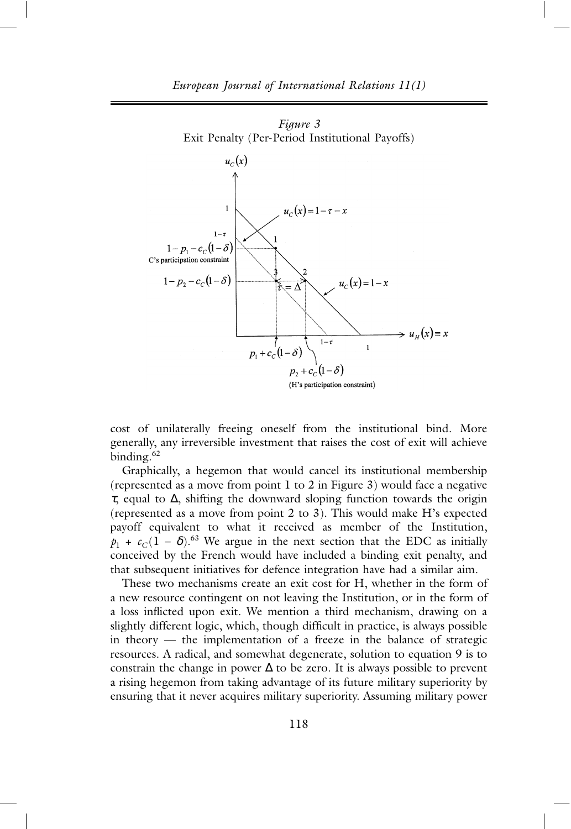

cost of unilaterally freeing oneself from the institutional bind. More generally, any irreversible investment that raises the cost of exit will achieve binding.<sup>62</sup>

Graphically, a hegemon that would cancel its institutional membership (represented as a move from point 1 to 2 in Figure 3) would face a negative <sup>τ</sup>, equal to ∆, shifting the downward sloping function towards the origin (represented as a move from point 2 to 3). This would make H's expected payoff equivalent to what it received as member of the Institution,  $p_1 + c_C(1 - \delta)$ .<sup>63</sup> We argue in the next section that the EDC as initially conceived by the French would have included a binding exit penalty, and that subsequent initiatives for defence integration have had a similar aim.

These two mechanisms create an exit cost for H, whether in the form of a new resource contingent on not leaving the Institution, or in the form of a loss inflicted upon exit. We mention a third mechanism, drawing on a slightly different logic, which, though difficult in practice, is always possible in theory — the implementation of a freeze in the balance of strategic resources. A radical, and somewhat degenerate, solution to equation 9 is to constrain the change in power ∆ to be zero. It is always possible to prevent a rising hegemon from taking advantage of its future military superiority by ensuring that it never acquires military superiority. Assuming military power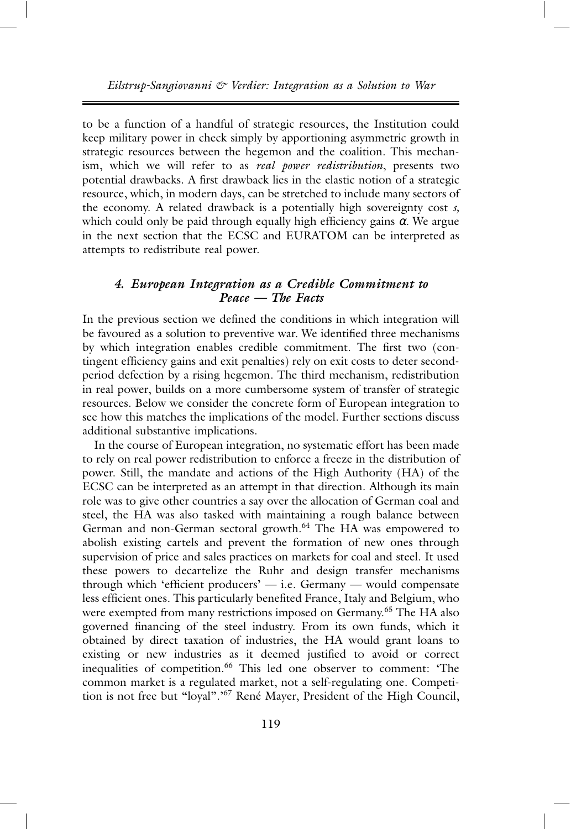to be a function of a handful of strategic resources, the Institution could keep military power in check simply by apportioning asymmetric growth in strategic resources between the hegemon and the coalition. This mechanism, which we will refer to as *real power redistribution*, presents two potential drawbacks. A first drawback lies in the elastic notion of a strategic resource, which, in modern days, can be stretched to include many sectors of the economy. A related drawback is a potentially high sovereignty cost *s,* which could only be paid through equally high efficiency gains  $\alpha$ . We argue in the next section that the ECSC and EURATOM can be interpreted as attempts to redistribute real power.

## *4. European Integration as a Credible Commitment to Peace — The Facts*

In the previous section we defined the conditions in which integration will be favoured as a solution to preventive war. We identified three mechanisms by which integration enables credible commitment. The first two (contingent efficiency gains and exit penalties) rely on exit costs to deter secondperiod defection by a rising hegemon. The third mechanism, redistribution in real power, builds on a more cumbersome system of transfer of strategic resources. Below we consider the concrete form of European integration to see how this matches the implications of the model. Further sections discuss additional substantive implications.

In the course of European integration, no systematic effort has been made to rely on real power redistribution to enforce a freeze in the distribution of power. Still, the mandate and actions of the High Authority (HA) of the ECSC can be interpreted as an attempt in that direction. Although its main role was to give other countries a say over the allocation of German coal and steel, the HA was also tasked with maintaining a rough balance between German and non-German sectoral growth.64 The HA was empowered to abolish existing cartels and prevent the formation of new ones through supervision of price and sales practices on markets for coal and steel. It used these powers to decartelize the Ruhr and design transfer mechanisms through which 'efficient producers' — i.e. Germany — would compensate less efficient ones. This particularly benefited France, Italy and Belgium, who were exempted from many restrictions imposed on Germany. <sup>65</sup> The HA also governed financing of the steel industry. From its own funds, which it obtained by direct taxation of industries, the HA would grant loans to existing or new industries as it deemed justified to avoid or correct inequalities of competition.<sup>66</sup> This led one observer to comment: 'The common market is a regulated market, not a self-regulating one. Competition is not free but "loyal".'67 René Mayer, President of the High Council,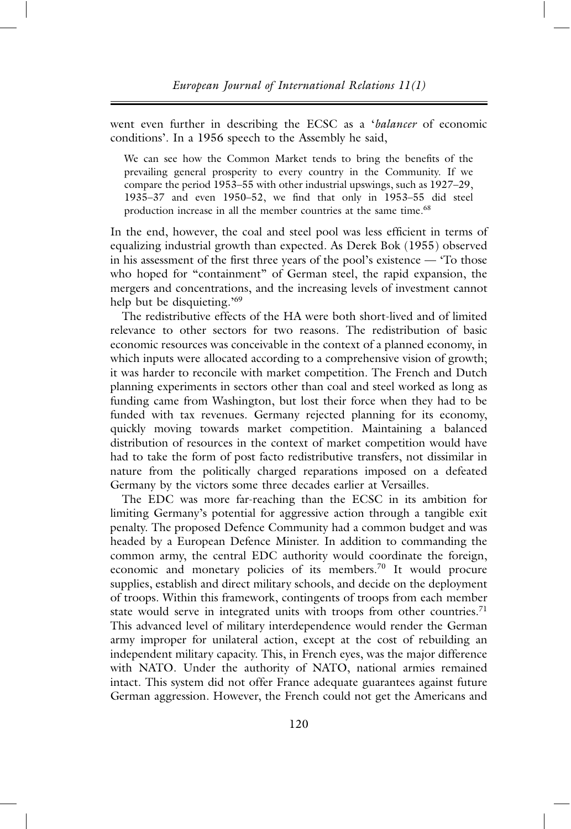went even further in describing the ECSC as a '*balancer* of economic conditions'. In a 1956 speech to the Assembly he said,

We can see how the Common Market tends to bring the benefits of the prevailing general prosperity to every country in the Community. If we compare the period 1953–55 with other industrial upswings, such as 1927–29, 1935–37 and even 1950–52, we find that only in 1953–55 did steel production increase in all the member countries at the same time.<sup>68</sup>

In the end, however, the coal and steel pool was less efficient in terms of equalizing industrial growth than expected. As Derek Bok (1955) observed in his assessment of the first three years of the pool's existence — 'To those who hoped for "containment" of German steel, the rapid expansion, the mergers and concentrations, and the increasing levels of investment cannot help but be disquieting.<sup>'69</sup>

The redistributive effects of the HA were both short-lived and of limited relevance to other sectors for two reasons. The redistribution of basic economic resources was conceivable in the context of a planned economy, in which inputs were allocated according to a comprehensive vision of growth; it was harder to reconcile with market competition. The French and Dutch planning experiments in sectors other than coal and steel worked as long as funding came from Washington, but lost their force when they had to be funded with tax revenues. Germany rejected planning for its economy, quickly moving towards market competition. Maintaining a balanced distribution of resources in the context of market competition would have had to take the form of post facto redistributive transfers, not dissimilar in nature from the politically charged reparations imposed on a defeated Germany by the victors some three decades earlier at Versailles.

The EDC was more far-reaching than the ECSC in its ambition for limiting Germany's potential for aggressive action through a tangible exit penalty. The proposed Defence Community had a common budget and was headed by a European Defence Minister. In addition to commanding the common army, the central EDC authority would coordinate the foreign, economic and monetary policies of its members.<sup>70</sup> It would procure supplies, establish and direct military schools, and decide on the deployment of troops. Within this framework, contingents of troops from each member state would serve in integrated units with troops from other countries.<sup>71</sup> This advanced level of military interdependence would render the German army improper for unilateral action, except at the cost of rebuilding an independent military capacity. This, in French eyes, was the major difference with NATO. Under the authority of NATO, national armies remained intact. This system did not offer France adequate guarantees against future German aggression. However, the French could not get the Americans and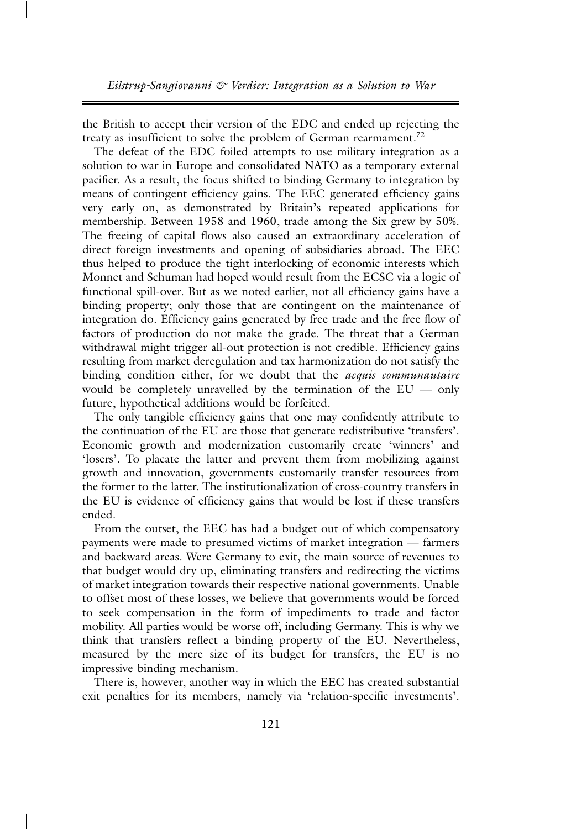the British to accept their version of the EDC and ended up rejecting the treaty as insufficient to solve the problem of German rearmament.<sup>72</sup>

The defeat of the EDC foiled attempts to use military integration as a solution to war in Europe and consolidated NATO as a temporary external pacifier. As a result, the focus shifted to binding Germany to integration by means of contingent efficiency gains. The EEC generated efficiency gains very early on, as demonstrated by Britain's repeated applications for membership. Between 1958 and 1960, trade among the Six grew by 50%. The freeing of capital flows also caused an extraordinary acceleration of direct foreign investments and opening of subsidiaries abroad. The EEC thus helped to produce the tight interlocking of economic interests which Monnet and Schuman had hoped would result from the ECSC via a logic of functional spill-over. But as we noted earlier, not all efficiency gains have a binding property; only those that are contingent on the maintenance of integration do. Efficiency gains generated by free trade and the free flow of factors of production do not make the grade. The threat that a German withdrawal might trigger all-out protection is not credible. Efficiency gains resulting from market deregulation and tax harmonization do not satisfy the binding condition either, for we doubt that the *acquis communautaire* would be completely unravelled by the termination of the  $EU - only$ future, hypothetical additions would be forfeited.

The only tangible efficiency gains that one may confidently attribute to the continuation of the EU are those that generate redistributive 'transfers'. Economic growth and modernization customarily create 'winners' and 'losers'. To placate the latter and prevent them from mobilizing against growth and innovation, governments customarily transfer resources from the former to the latter. The institutionalization of cross-country transfers in the EU is evidence of efficiency gains that would be lost if these transfers ended.

From the outset, the EEC has had a budget out of which compensatory payments were made to presumed victims of market integration — farmers and backward areas. Were Germany to exit, the main source of revenues to that budget would dry up, eliminating transfers and redirecting the victims of market integration towards their respective national governments. Unable to offset most of these losses, we believe that governments would be forced to seek compensation in the form of impediments to trade and factor mobility. All parties would be worse off, including Germany. This is why we think that transfers reflect a binding property of the EU. Nevertheless, measured by the mere size of its budget for transfers, the EU is no impressive binding mechanism.

There is, however, another way in which the EEC has created substantial exit penalties for its members, namely via 'relation-specific investments'.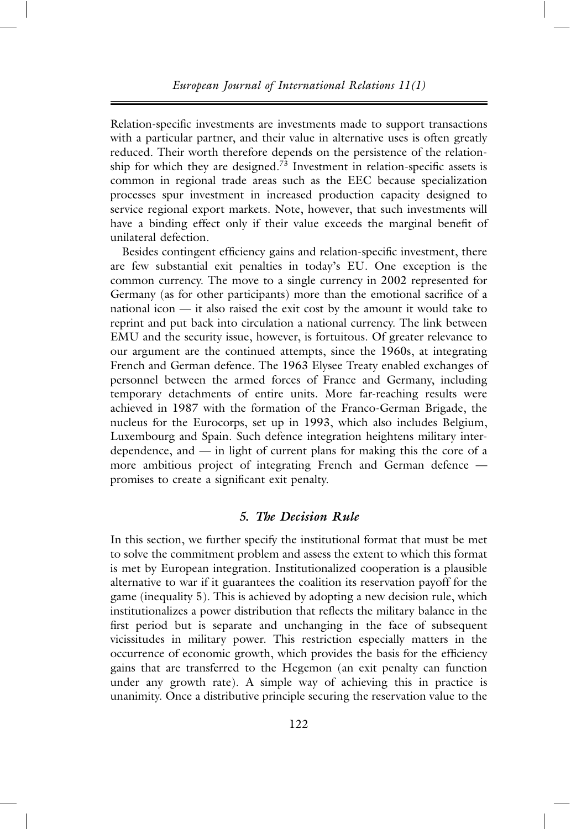Relation-specific investments are investments made to support transactions with a particular partner, and their value in alternative uses is often greatly reduced. Their worth therefore depends on the persistence of the relationship for which they are designed.<sup>73</sup> Investment in relation-specific assets is common in regional trade areas such as the EEC because specialization processes spur investment in increased production capacity designed to service regional export markets. Note, however, that such investments will have a binding effect only if their value exceeds the marginal benefit of unilateral defection.

Besides contingent efficiency gains and relation-specific investment, there are few substantial exit penalties in today's EU. One exception is the common currency. The move to a single currency in 2002 represented for Germany (as for other participants) more than the emotional sacrifice of a national icon — it also raised the exit cost by the amount it would take to reprint and put back into circulation a national currency. The link between EMU and the security issue, however, is fortuitous. Of greater relevance to our argument are the continued attempts, since the 1960s, at integrating French and German defence. The 1963 Elysee Treaty enabled exchanges of personnel between the armed forces of France and Germany, including temporary detachments of entire units. More far-reaching results were achieved in 1987 with the formation of the Franco-German Brigade, the nucleus for the Eurocorps, set up in 1993, which also includes Belgium, Luxembourg and Spain. Such defence integration heightens military interdependence, and — in light of current plans for making this the core of a more ambitious project of integrating French and German defence promises to create a significant exit penalty.

# *5. The Decision Rule*

In this section, we further specify the institutional format that must be met to solve the commitment problem and assess the extent to which this format is met by European integration. Institutionalized cooperation is a plausible alternative to war if it guarantees the coalition its reservation payoff for the game (inequality 5). This is achieved by adopting a new decision rule, which institutionalizes a power distribution that reflects the military balance in the first period but is separate and unchanging in the face of subsequent vicissitudes in military power. This restriction especially matters in the occurrence of economic growth, which provides the basis for the efficiency gains that are transferred to the Hegemon (an exit penalty can function under any growth rate). A simple way of achieving this in practice is unanimity. Once a distributive principle securing the reservation value to the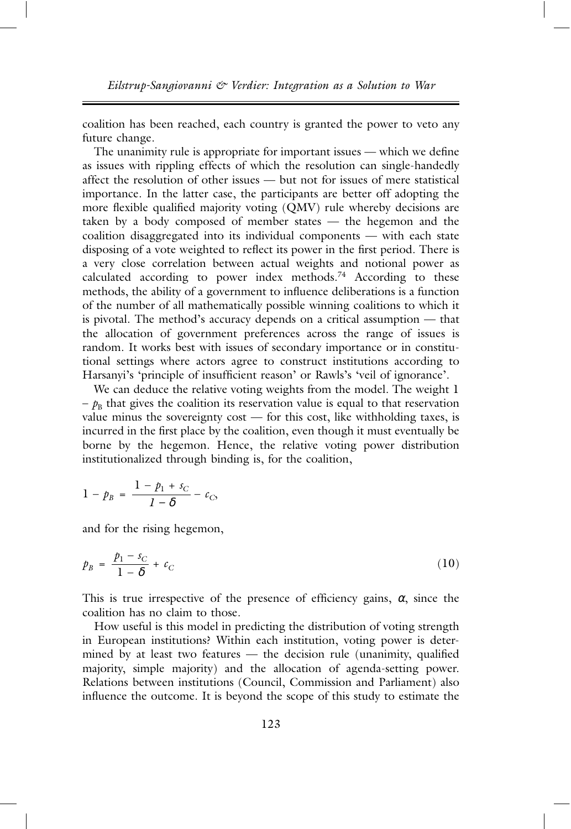coalition has been reached, each country is granted the power to veto any future change.

The unanimity rule is appropriate for important issues — which we define as issues with rippling effects of which the resolution can single-handedly affect the resolution of other issues — but not for issues of mere statistical importance. In the latter case, the participants are better off adopting the more flexible qualified majority voting (QMV) rule whereby decisions are taken by a body composed of member states — the hegemon and the coalition disaggregated into its individual components — with each state disposing of a vote weighted to reflect its power in the first period. There is a very close correlation between actual weights and notional power as calculated according to power index methods.74 According to these methods, the ability of a government to influence deliberations is a function of the number of all mathematically possible winning coalitions to which it is pivotal. The method's accuracy depends on a critical assumption — that the allocation of government preferences across the range of issues is random. It works best with issues of secondary importance or in constitutional settings where actors agree to construct institutions according to Harsanyi's 'principle of insufficient reason' or Rawls's 'veil of ignorance'.

We can deduce the relative voting weights from the model. The weight 1  $-p_B$  that gives the coalition its reservation value is equal to that reservation value minus the sovereignty  $cost -$  for this cost, like withholding taxes, is incurred in the first place by the coalition, even though it must eventually be borne by the hegemon. Hence, the relative voting power distribution institutionalized through binding is, for the coalition,

$$
1 - p_B = \frac{1 - p_1 + s_C}{1 - \delta} - c_C,
$$

and for the rising hegemon,

$$
p_B = \frac{p_1 - s_C}{1 - \delta} + c_C \tag{10}
$$

This is true irrespective of the presence of efficiency gains,  $\alpha$ , since the coalition has no claim to those.

How useful is this model in predicting the distribution of voting strength in European institutions? Within each institution, voting power is determined by at least two features — the decision rule (unanimity, qualified majority, simple majority) and the allocation of agenda-setting power. Relations between institutions (Council, Commission and Parliament) also influence the outcome. It is beyond the scope of this study to estimate the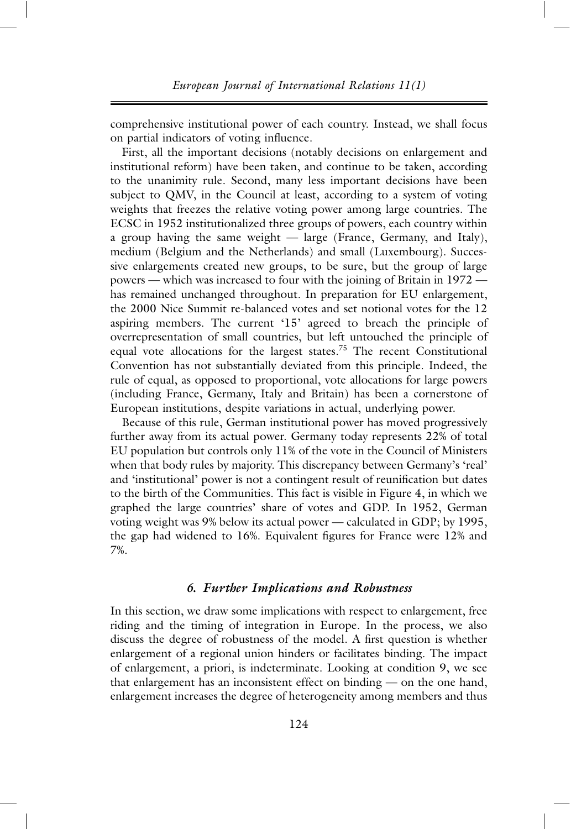comprehensive institutional power of each country. Instead, we shall focus on partial indicators of voting influence.

First, all the important decisions (notably decisions on enlargement and institutional reform) have been taken, and continue to be taken, according to the unanimity rule. Second, many less important decisions have been subject to QMV, in the Council at least, according to a system of voting weights that freezes the relative voting power among large countries. The ECSC in 1952 institutionalized three groups of powers, each country within a group having the same weight — large (France, Germany, and Italy), medium (Belgium and the Netherlands) and small (Luxembourg). Successive enlargements created new groups, to be sure, but the group of large powers — which was increased to four with the joining of Britain in 1972 has remained unchanged throughout. In preparation for EU enlargement, the 2000 Nice Summit re-balanced votes and set notional votes for the 12 aspiring members. The current '15' agreed to breach the principle of overrepresentation of small countries, but left untouched the principle of equal vote allocations for the largest states.75 The recent Constitutional Convention has not substantially deviated from this principle. Indeed, the rule of equal, as opposed to proportional, vote allocations for large powers (including France, Germany, Italy and Britain) has been a cornerstone of European institutions, despite variations in actual, underlying power.

Because of this rule, German institutional power has moved progressively further away from its actual power. Germany today represents 22% of total EU population but controls only 11% of the vote in the Council of Ministers when that body rules by majority. This discrepancy between Germany's 'real' and 'institutional' power is not a contingent result of reunification but dates to the birth of the Communities. This fact is visible in Figure 4, in which we graphed the large countries' share of votes and GDP. In 1952, German voting weight was 9% below its actual power — calculated in GDP; by 1995, the gap had widened to 16%. Equivalent figures for France were 12% and 7%.

#### *6. Further Implications and Robustness*

In this section, we draw some implications with respect to enlargement, free riding and the timing of integration in Europe. In the process, we also discuss the degree of robustness of the model. A first question is whether enlargement of a regional union hinders or facilitates binding. The impact of enlargement, a priori, is indeterminate. Looking at condition 9, we see that enlargement has an inconsistent effect on binding — on the one hand, enlargement increases the degree of heterogeneity among members and thus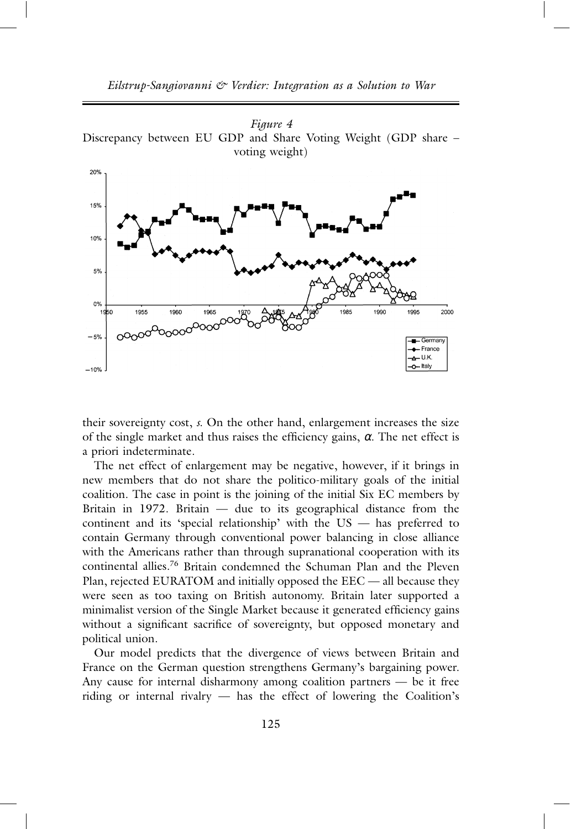*Figure 4* Discrepancy between EU GDP and Share Voting Weight (GDP share – voting weight)



their sovereignty cost, *s*. On the other hand, enlargement increases the size of the single market and thus raises the efficiency gains,  $\alpha$ . The net effect is a priori indeterminate.

The net effect of enlargement may be negative, however, if it brings in new members that do not share the politico-military goals of the initial coalition. The case in point is the joining of the initial Six EC members by Britain in 1972. Britain — due to its geographical distance from the continent and its 'special relationship' with the US — has preferred to contain Germany through conventional power balancing in close alliance with the Americans rather than through supranational cooperation with its continental allies.<sup>76</sup> Britain condemned the Schuman Plan and the Pleven Plan, rejected EURATOM and initially opposed the EEC — all because they were seen as too taxing on British autonomy. Britain later supported a minimalist version of the Single Market because it generated efficiency gains without a significant sacrifice of sovereignty, but opposed monetary and political union.

Our model predicts that the divergence of views between Britain and France on the German question strengthens Germany's bargaining power. Any cause for internal disharmony among coalition partners — be it free riding or internal rivalry — has the effect of lowering the Coalition's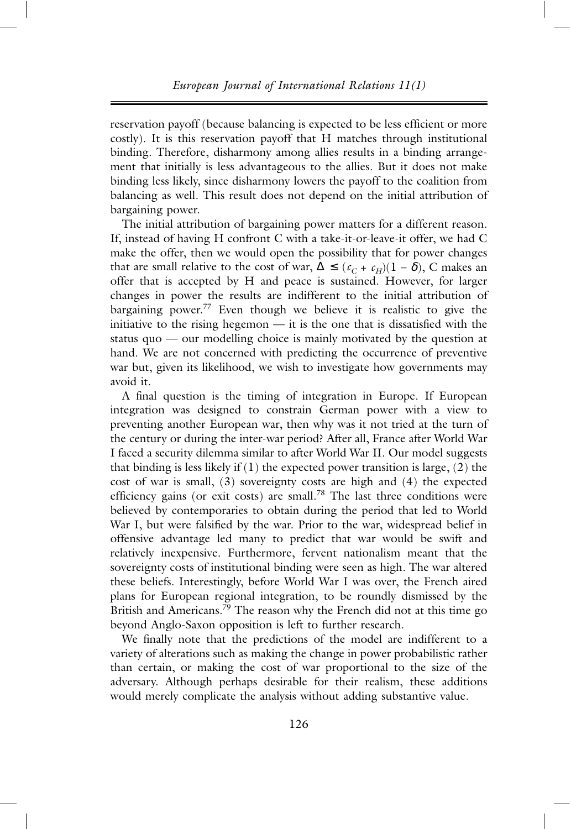reservation payoff (because balancing is expected to be less efficient or more costly). It is this reservation payoff that H matches through institutional binding. Therefore, disharmony among allies results in a binding arrangement that initially is less advantageous to the allies. But it does not make binding less likely, since disharmony lowers the payoff to the coalition from balancing as well. This result does not depend on the initial attribution of bargaining power.

The initial attribution of bargaining power matters for a different reason. If, instead of having H confront C with a take-it-or-leave-it offer, we had C make the offer, then we would open the possibility that for power changes that are small relative to the cost of war,  $\overline{\Delta} \leq (c_C + c_H)(1 - \overline{\delta})$ , C makes an offer that is accepted by H and peace is sustained. However, for larger changes in power the results are indifferent to the initial attribution of bargaining power. <sup>77</sup> Even though we believe it is realistic to give the initiative to the rising hegemon — it is the one that is dissatisfied with the status quo — our modelling choice is mainly motivated by the question at hand. We are not concerned with predicting the occurrence of preventive war but, given its likelihood, we wish to investigate how governments may avoid it.

A final question is the timing of integration in Europe. If European integration was designed to constrain German power with a view to preventing another European war, then why was it not tried at the turn of the century or during the inter-war period? After all, France after World War I faced a security dilemma similar to after World War II. Our model suggests that binding is less likely if  $(1)$  the expected power transition is large,  $(2)$  the cost of war is small, (3) sovereignty costs are high and (4) the expected efficiency gains (or exit costs) are small.78 The last three conditions were believed by contemporaries to obtain during the period that led to World War I, but were falsified by the war. Prior to the war, widespread belief in offensive advantage led many to predict that war would be swift and relatively inexpensive. Furthermore, fervent nationalism meant that the sovereignty costs of institutional binding were seen as high. The war altered these beliefs. Interestingly, before World War I was over, the French aired plans for European regional integration, to be roundly dismissed by the British and Americans.<sup>79</sup> The reason why the French did not at this time go beyond Anglo-Saxon opposition is left to further research.

We finally note that the predictions of the model are indifferent to a variety of alterations such as making the change in power probabilistic rather than certain, or making the cost of war proportional to the size of the adversary. Although perhaps desirable for their realism, these additions would merely complicate the analysis without adding substantive value.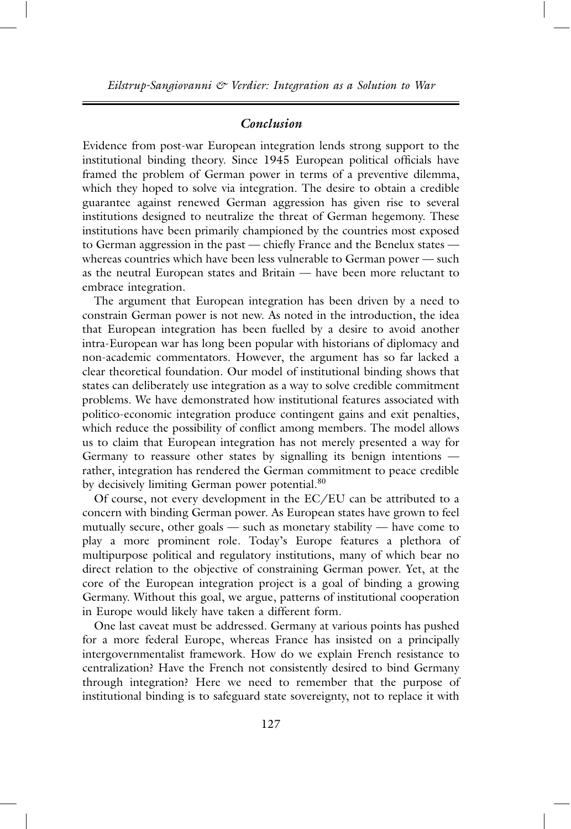## *Conclusion*

Evidence from post-war European integration lends strong support to the institutional binding theory. Since 1945 European political officials have framed the problem of German power in terms of a preventive dilemma, which they hoped to solve via integration. The desire to obtain a credible guarantee against renewed German aggression has given rise to several institutions designed to neutralize the threat of German hegemony. These institutions have been primarily championed by the countries most exposed to German aggression in the past — chiefly France and the Benelux states whereas countries which have been less vulnerable to German power — such as the neutral European states and Britain — have been more reluctant to embrace integration.

The argument that European integration has been driven by a need to constrain German power is not new. As noted in the introduction, the idea that European integration has been fuelled by a desire to avoid another intra-European war has long been popular with historians of diplomacy and non-academic commentators. However, the argument has so far lacked a clear theoretical foundation. Our model of institutional binding shows that states can deliberately use integration as a way to solve credible commitment problems. We have demonstrated how institutional features associated with politico-economic integration produce contingent gains and exit penalties, which reduce the possibility of conflict among members. The model allows us to claim that European integration has not merely presented a way for Germany to reassure other states by signalling its benign intentions rather, integration has rendered the German commitment to peace credible by decisively limiting German power potential.<sup>80</sup>

Of course, not every development in the EC/EU can be attributed to a concern with binding German power. As European states have grown to feel mutually secure, other goals — such as monetary stability — have come to play a more prominent role. Today's Europe features a plethora of multipurpose political and regulatory institutions, many of which bear no direct relation to the objective of constraining German power. Yet, at the core of the European integration project is a goal of binding a growing Germany. Without this goal, we argue, patterns of institutional cooperation in Europe would likely have taken a different form.

One last caveat must be addressed. Germany at various points has pushed for a more federal Europe, whereas France has insisted on a principally intergovernmentalist framework. How do we explain French resistance to centralization? Have the French not consistently desired to bind Germany through integration? Here we need to remember that the purpose of institutional binding is to safeguard state sovereignty, not to replace it with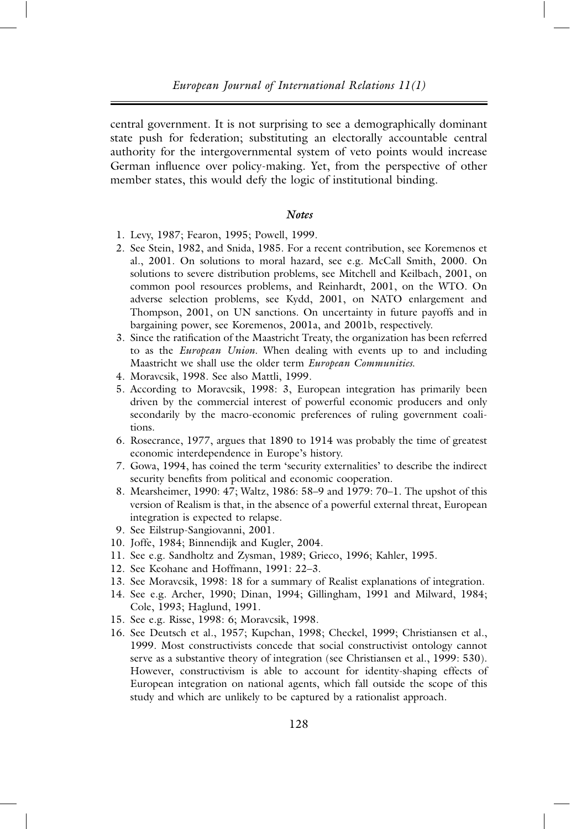central government. It is not surprising to see a demographically dominant state push for federation; substituting an electorally accountable central authority for the intergovernmental system of veto points would increase German influence over policy-making. Yet, from the perspective of other member states, this would defy the logic of institutional binding.

#### *Notes*

- 1. Levy, 1987; Fearon, 1995; Powell, 1999.
- 2. See Stein, 1982, and Snida, 1985. For a recent contribution, see Koremenos et al., 2001. On solutions to moral hazard, see e.g. McCall Smith, 2000. On solutions to severe distribution problems, see Mitchell and Keilbach, 2001, on common pool resources problems, and Reinhardt, 2001, on the WTO. On adverse selection problems, see Kydd, 2001, on NATO enlargement and Thompson, 2001, on UN sanctions. On uncertainty in future payoffs and in bargaining power, see Koremenos, 2001a, and 2001b, respectively.
- 3. Since the ratification of the Maastricht Treaty, the organization has been referred to as the *European Union*. When dealing with events up to and including Maastricht we shall use the older term *European Communities*.
- 4. Moravcsik, 1998. See also Mattli, 1999.
- 5. According to Moravcsik, 1998: 3, European integration has primarily been driven by the commercial interest of powerful economic producers and only secondarily by the macro-economic preferences of ruling government coalitions.
- 6. Rosecrance, 1977, argues that 1890 to 1914 was probably the time of greatest economic interdependence in Europe's history.
- 7. Gowa, 1994, has coined the term 'security externalities' to describe the indirect security benefits from political and economic cooperation.
- 8. Mearsheimer, 1990: 47; Waltz, 1986: 58–9 and 1979: 70–1. The upshot of this version of Realism is that, in the absence of a powerful external threat, European integration is expected to relapse.
- 9. See Eilstrup-Sangiovanni, 2001.
- 10. Joffe, 1984; Binnendijk and Kugler, 2004.
- 11. See e.g. Sandholtz and Zysman, 1989; Grieco, 1996; Kahler, 1995.
- 12. See Keohane and Hoffmann, 1991: 22–3.
- 13. See Moravcsik, 1998: 18 for a summary of Realist explanations of integration.
- 14. See e.g. Archer, 1990; Dinan, 1994; Gillingham, 1991 and Milward, 1984; Cole, 1993; Haglund, 1991.
- 15. See e.g. Risse, 1998: 6; Moravcsik, 1998.
- 16. See Deutsch et al., 1957; Kupchan, 1998; Checkel, 1999; Christiansen et al., 1999. Most constructivists concede that social constructivist ontology cannot serve as a substantive theory of integration (see Christiansen et al., 1999: 530). However, constructivism is able to account for identity-shaping effects of European integration on national agents, which fall outside the scope of this study and which are unlikely to be captured by a rationalist approach.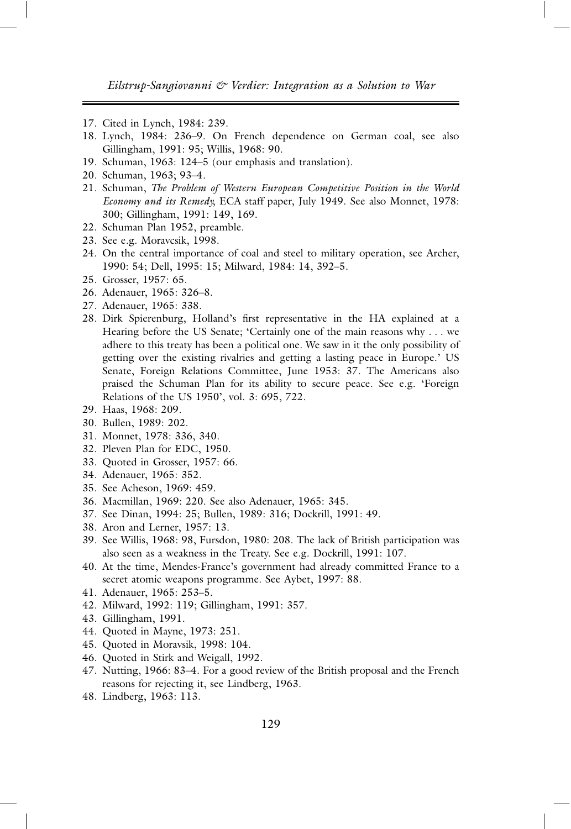- 17. Cited in Lynch, 1984: 239.
- 18. Lynch, 1984: 236–9. On French dependence on German coal, see also Gillingham, 1991: 95; Willis, 1968: 90.
- 19. Schuman, 1963: 124–5 (our emphasis and translation).
- 20. Schuman, 1963; 93–4.
- 21. Schuman, *The Problem of Western European Competitive Position in the World Economy and its Remedy*, ECA staff paper, July 1949. See also Monnet, 1978: 300; Gillingham, 1991: 149, 169.
- 22. Schuman Plan 1952, preamble.
- 23. See e.g. Moravcsik, 1998.
- 24. On the central importance of coal and steel to military operation, see Archer, 1990: 54; Dell, 1995: 15; Milward, 1984: 14, 392–5.
- 25. Grosser, 1957: 65.
- 26. Adenauer, 1965: 326–8.
- 27. Adenauer, 1965: 338.
- 28. Dirk Spierenburg, Holland's first representative in the HA explained at a Hearing before the US Senate; 'Certainly one of the main reasons why . . . we adhere to this treaty has been a political one. We saw in it the only possibility of getting over the existing rivalries and getting a lasting peace in Europe.' US Senate, Foreign Relations Committee, June 1953: 37. The Americans also praised the Schuman Plan for its ability to secure peace. See e.g. 'Foreign Relations of the US 1950', vol. 3: 695, 722.
- 29. Haas, 1968: 209.
- 30. Bullen, 1989: 202.
- 31. Monnet, 1978: 336, 340.
- 32. Pleven Plan for EDC, 1950.
- 33. Quoted in Grosser, 1957: 66.
- 34. Adenauer, 1965: 352.
- 35. See Acheson, 1969: 459.
- 36. Macmillan, 1969: 220. See also Adenauer, 1965: 345.
- 37. See Dinan, 1994: 25; Bullen, 1989: 316; Dockrill, 1991: 49.
- 38. Aron and Lerner, 1957: 13.
- 39. See Willis, 1968: 98, Fursdon, 1980: 208. The lack of British participation was also seen as a weakness in the Treaty. See e.g. Dockrill, 1991: 107.
- 40. At the time, Mendes-France's government had already committed France to a secret atomic weapons programme. See Aybet, 1997: 88.
- 41. Adenauer, 1965: 253–5.
- 42. Milward, 1992: 119; Gillingham, 1991: 357.
- 43. Gillingham, 1991.
- 44. Quoted in Mayne, 1973: 251.
- 45. Quoted in Moravsik, 1998: 104.
- 46. Quoted in Stirk and Weigall, 1992.
- 47. Nutting, 1966: 83–4. For a good review of the British proposal and the French reasons for rejecting it, see Lindberg, 1963.
- 48. Lindberg, 1963: 113.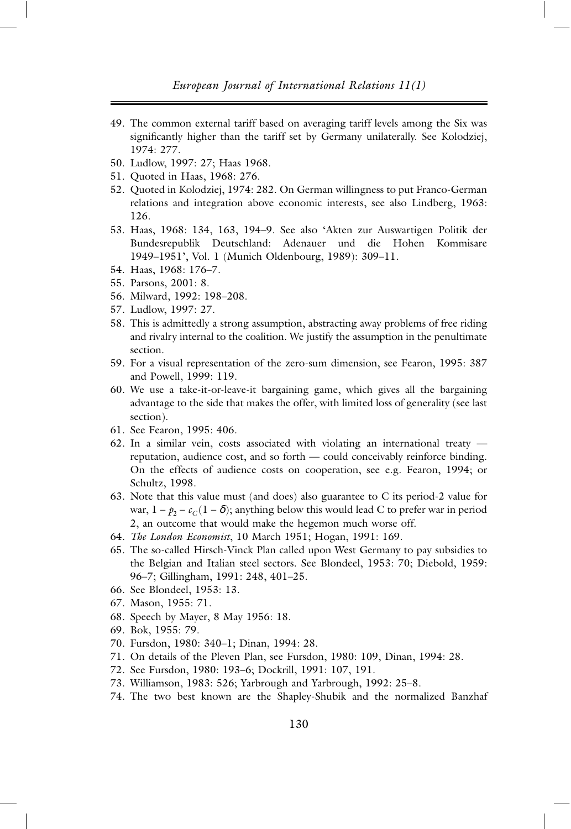- 49. The common external tariff based on averaging tariff levels among the Six was significantly higher than the tariff set by Germany unilaterally. See Kolodziej, 1974: 277.
- 50. Ludlow, 1997: 27; Haas 1968.
- 51. Quoted in Haas, 1968: 276.
- 52. Quoted in Kolodziej, 1974: 282. On German willingness to put Franco-German relations and integration above economic interests, see also Lindberg, 1963: 126.
- 53. Haas, 1968: 134, 163, 194–9. See also 'Akten zur Auswartigen Politik der Bundesrepublik Deutschland: Adenauer und die Hohen Kommisare 1949–1951', Vol. 1 (Munich Oldenbourg, 1989): 309–11.
- 54. Haas, 1968: 176–7.
- 55. Parsons, 2001: 8.
- 56. Milward, 1992: 198–208.
- 57. Ludlow, 1997: 27.
- 58. This is admittedly a strong assumption, abstracting away problems of free riding and rivalry internal to the coalition. We justify the assumption in the penultimate section.
- 59. For a visual representation of the zero-sum dimension, see Fearon, 1995: 387 and Powell, 1999: 119.
- 60. We use a take-it-or-leave-it bargaining game, which gives all the bargaining advantage to the side that makes the offer, with limited loss of generality (see last section).
- 61. See Fearon, 1995: 406.
- 62. In a similar vein, costs associated with violating an international treaty reputation, audience cost, and so forth — could conceivably reinforce binding. On the effects of audience costs on cooperation, see e.g. Fearon, 1994; or Schultz, 1998.
- 63. Note that this value must (and does) also guarantee to C its period-2 value for war,  $1 - p_2 - c_C(1 - \delta)$ ; anything below this would lead C to prefer war in period 2, an outcome that would make the hegemon much worse off.
- 64. *The London Economist*, 10 March 1951; Hogan, 1991: 169.
- 65. The so-called Hirsch-Vinck Plan called upon West Germany to pay subsidies to the Belgian and Italian steel sectors. See Blondeel, 1953: 70; Diebold, 1959: 96–7; Gillingham, 1991: 248, 401–25.
- 66. See Blondeel, 1953: 13.
- 67. Mason, 1955: 71.
- 68. Speech by Mayer, 8 May 1956: 18.
- 69. Bok, 1955: 79.
- 70. Fursdon, 1980: 340–1; Dinan, 1994: 28.
- 71. On details of the Pleven Plan, see Fursdon, 1980: 109, Dinan, 1994: 28.
- 72. See Fursdon, 1980: 193–6; Dockrill, 1991: 107, 191.
- 73. Williamson, 1983: 526; Yarbrough and Yarbrough, 1992: 25–8.
- 74. The two best known are the Shapley-Shubik and the normalized Banzhaf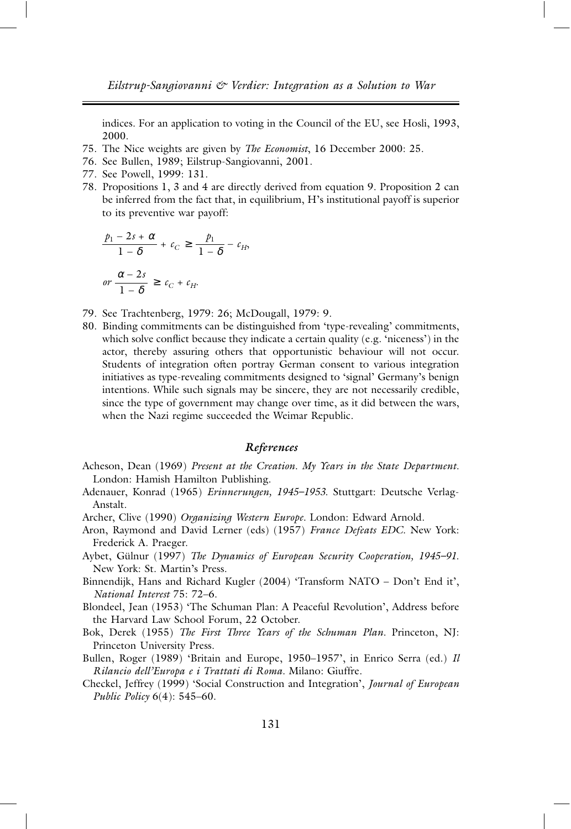indices. For an application to voting in the Council of the EU, see Hosli, 1993, 2000.

- 75. The Nice weights are given by *The Economist*, 16 December 2000: 25.
- 76. See Bullen, 1989; Eilstrup-Sangiovanni, 2001.
- 77. See Powell, 1999: 131.
- 78. Propositions 1, 3 and 4 are directly derived from equation 9. Proposition 2 can be inferred from the fact that, in equilibrium, H's institutional payoff is superior to its preventive war payoff:

$$
\frac{p_1 - 2s + \alpha}{1 - \delta} + c_C \ge \frac{p_1}{1 - \delta} - c_H,
$$
  
or 
$$
\frac{\alpha - 2s}{1 - \delta} \ge c_C + c_H.
$$

- 79. See Trachtenberg, 1979: 26; McDougall, 1979: 9.
- 80. Binding commitments can be distinguished from 'type-revealing' commitments, which solve conflict because they indicate a certain quality (e.g. 'niceness') in the actor, thereby assuring others that opportunistic behaviour will not occur. Students of integration often portray German consent to various integration initiatives as type-revealing commitments designed to 'signal' Germany's benign intentions. While such signals may be sincere, they are not necessarily credible, since the type of government may change over time, as it did between the wars, when the Nazi regime succeeded the Weimar Republic.

#### *References*

- Acheson, Dean (1969) *Present at the Creation. My Years in the State Department*. London: Hamish Hamilton Publishing.
- Adenauer, Konrad (1965) *Erinnerungen, 1945–1953*. Stuttgart: Deutsche Verlag-Anstalt.
- Archer, Clive (1990) *Organizing Western Europe.* London: Edward Arnold.
- Aron, Raymond and David Lerner (eds) (1957) *France Defeats EDC.* New York: Frederick A. Praeger.
- Aybet, Gülnur (1997) *The Dynamics of European Security Cooperation, 1945–91*. New York: St. Martin's Press.
- Binnendijk, Hans and Richard Kugler (2004) 'Transform NATO Don't End it', *National Interest* 75: 72–6.
- Blondeel, Jean (1953) 'The Schuman Plan: A Peaceful Revolution', Address before the Harvard Law School Forum, 22 October.
- Bok, Derek (1955) *The First Three Years of the Schuman Plan.* Princeton, NJ: Princeton University Press.
- Bullen, Roger (1989) 'Britain and Europe, 1950–1957', in Enrico Serra (ed.) *Il Rilancio dell'Europa e i Trattati di Roma.* Milano: Giuffre.
- Checkel, Jeffrey (1999) 'Social Construction and Integration', *Journal of European Public Policy* 6(4): 545–60.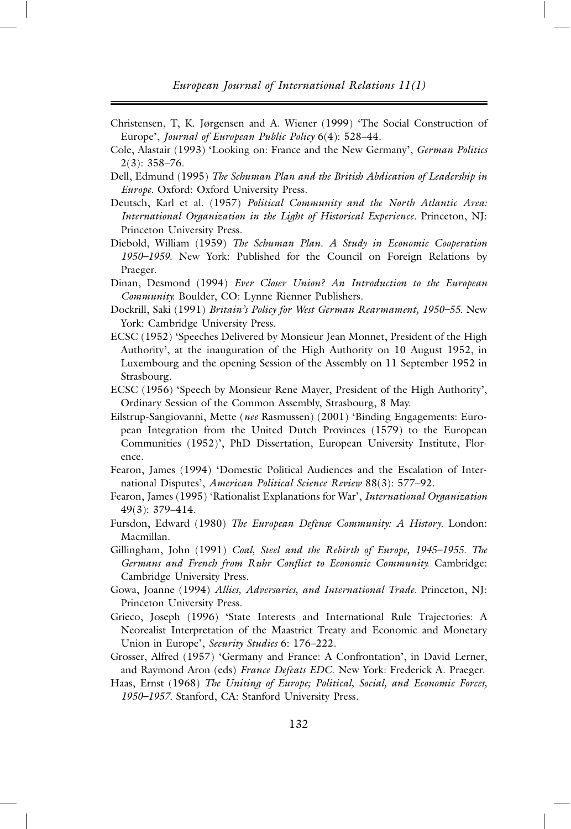- Christensen, T, K. Jørgensen and A. Wiener (1999) 'The Social Construction of Europe', *Journal of European Public Policy* 6(4): 528–44.
- Cole, Alastair (1993) 'Looking on: France and the New Germany', *German Politics* 2(3): 358–76.
- Dell, Edmund (1995) *The Schuman Plan and the British Abdication of Leadership in Europe.* Oxford: Oxford University Press.
- Deutsch, Karl et al. (1957) *Political Community and the North Atlantic Area: International Organization in the Light of Historical Experience.* Princeton, NJ: Princeton University Press.
- Diebold, William (1959) *The Schuman Plan. A Study in Economic Cooperation 1950–1959.* New York: Published for the Council on Foreign Relations by Praeger.
- Dinan, Desmond (1994) *Ever Closer Union? An Introduction to the European Community*. Boulder, CO: Lynne Rienner Publishers.
- Dockrill, Saki (1991) *Britain's Policy for West German Rearmament, 1950–55.* New York: Cambridge University Press.
- ECSC (1952) 'Speeches Delivered by Monsieur Jean Monnet, President of the High Authority', at the inauguration of the High Authority on 10 August 1952, in Luxembourg and the opening Session of the Assembly on 11 September 1952 in Strasbourg.
- ECSC (1956) 'Speech by Monsieur Rene Mayer, President of the High Authority', Ordinary Session of the Common Assembly, Strasbourg, 8 May.
- Eilstrup-Sangiovanni, Mette (*nee* Rasmussen) (2001) 'Binding Engagements: European Integration from the United Dutch Provinces (1579) to the European Communities (1952)', PhD Dissertation, European University Institute, Florence.
- Fearon, James (1994) 'Domestic Political Audiences and the Escalation of International Disputes', *American Political Science Review* 88(3): 577–92.
- Fearon, James (1995) 'Rationalist Explanations for War', *International Organization* 49(3): 379–414.
- Fursdon, Edward (1980) *The European Defense Community: A History.* London: Macmillan.
- Gillingham, John (1991) *Coal, Steel and the Rebirth of Europe, 1945–1955. The Germans and French from Ruhr Conflict to Economic Community*. Cambridge: Cambridge University Press.
- Gowa, Joanne (1994) *Allies, Adversaries, and International Trade.* Princeton, NJ: Princeton University Press.
- Grieco, Joseph (1996) 'State Interests and International Rule Trajectories: A Neorealist Interpretation of the Maastrict Treaty and Economic and Monetary Union in Europe', *Security Studies* 6: 176–222.
- Grosser, Alfred (1957) 'Germany and France: A Confrontation', in David Lerner, and Raymond Aron (eds) *France Defeats EDC*. New York: Frederick A. Praeger.
- Haas, Ernst (1968) *The Uniting of Europe; Political, Social, and Economic Forces, 1950–1957.* Stanford, CA: Stanford University Press.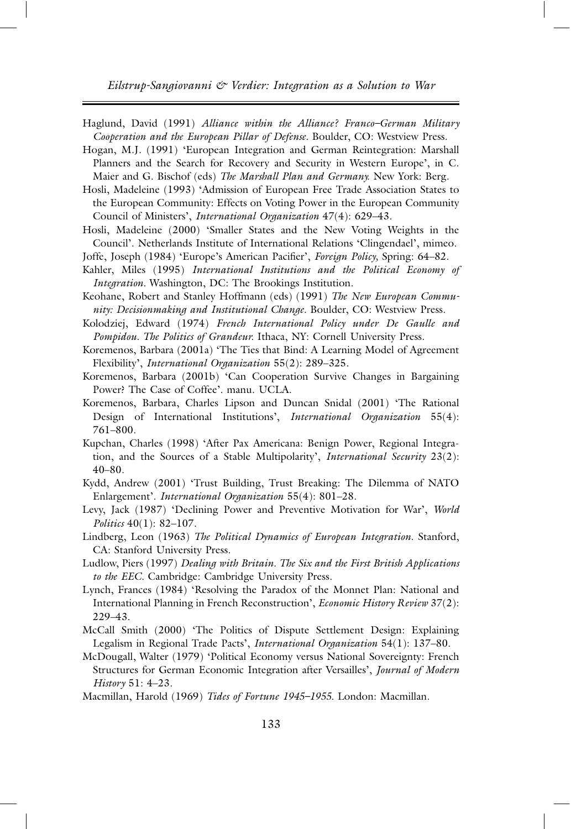- Haglund, David (1991) *Alliance within the Alliance? Franco–German Military Cooperation and the European Pillar of Defense.* Boulder, CO: Westview Press.
- Hogan, M.J. (1991) 'European Integration and German Reintegration: Marshall Planners and the Search for Recovery and Security in Western Europe', in C. Maier and G. Bischof (eds) *The Marshall Plan and Germany*. New York: Berg.
- Hosli, Madeleine (1993) 'Admission of European Free Trade Association States to the European Community: Effects on Voting Power in the European Community Council of Ministers', *International Organization* 47(4): 629–43.
- Hosli, Madeleine (2000) 'Smaller States and the New Voting Weights in the Council'. Netherlands Institute of International Relations 'Clingendael', mimeo.
- Joffe, Joseph (1984) 'Europe's American Pacifier', *Foreign Policy,* Spring: 64–82.
- Kahler, Miles (1995) *International Institutions and the Political Economy of Integration.* Washington, DC: The Brookings Institution.
- Keohane, Robert and Stanley Hoffmann (eds) (1991) *The New European Community: Decisionmaking and Institutional Change.* Boulder, CO: Westview Press.
- Kolodziej, Edward (1974) *French International Policy under De Gaulle and Pompidou. The Politics of Grandeur.* Ithaca, NY: Cornell University Press.
- Koremenos, Barbara (2001a) 'The Ties that Bind: A Learning Model of Agreement Flexibility', *International Organization* 55(2): 289–325.
- Koremenos, Barbara (2001b) 'Can Cooperation Survive Changes in Bargaining Power? The Case of Coffee'. manu. UCLA.
- Koremenos, Barbara, Charles Lipson and Duncan Snidal (2001) 'The Rational Design of International Institutions', *International Organization* 55(4): 761–800.
- Kupchan, Charles (1998) 'After Pax Americana: Benign Power, Regional Integration, and the Sources of a Stable Multipolarity', *International Security* 23(2): 40–80.
- Kydd, Andrew (2001) 'Trust Building, Trust Breaking: The Dilemma of NATO Enlargement'. *International Organization* 55(4): 801–28.
- Levy, Jack (1987) 'Declining Power and Preventive Motivation for War', *World Politics* 40(1): 82–107.
- Lindberg, Leon (1963) *The Political Dynamics of European Integration*. Stanford, CA: Stanford University Press.
- Ludlow, Piers (1997) *Dealing with Britain. The Six and the First British Applications to the EEC.* Cambridge: Cambridge University Press.
- Lynch, Frances (1984) 'Resolving the Paradox of the Monnet Plan: National and International Planning in French Reconstruction', *Economic History Review* 37(2): 229–43.
- McCall Smith (2000) 'The Politics of Dispute Settlement Design: Explaining Legalism in Regional Trade Pacts', *International Organization* 54(1): 137–80.
- McDougall, Walter (1979) 'Political Economy versus National Sovereignty: French Structures for German Economic Integration after Versailles', *Journal of Modern History* 51: 4–23.
- Macmillan, Harold (1969) *Tides of Fortune 1945–1955.* London: Macmillan.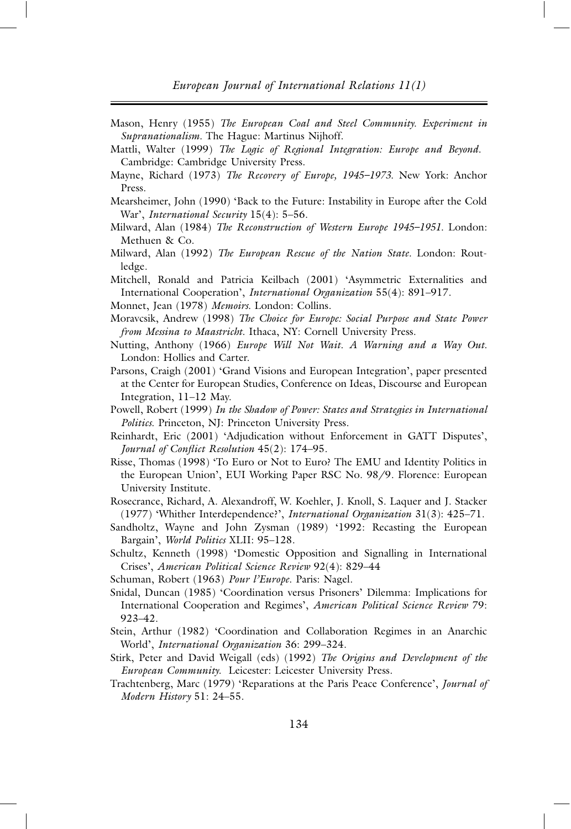- Mason, Henry (1955) *The European Coal and Steel Community. Experiment in Supranationalism.* The Hague: Martinus Nijhoff.
- Mattli, Walter (1999) *The Logic of Regional Integration: Europe and Beyond.*  Cambridge: Cambridge University Press.
- Mayne, Richard (1973) *The Recovery of Europe, 1945–1973.* New York: Anchor Press.
- Mearsheimer, John (1990) 'Back to the Future: Instability in Europe after the Cold War', *International Security* 15(4): 5–56.
- Milward, Alan (1984) *The Reconstruction of Western Europe 1945–1951.* London: Methuen & Co.
- Milward, Alan (1992) *The European Rescue of the Nation State.* London: Routledge.
- Mitchell, Ronald and Patricia Keilbach (2001) 'Asymmetric Externalities and International Cooperation', *International Organization* 55(4): 891–917.
- Monnet, Jean (1978) *Memoirs.* London: Collins.
- Moravcsik, Andrew (1998) *The Choice for Europe: Social Purpose and State Power from Messina to Maastricht*. Ithaca, NY: Cornell University Press.
- Nutting, Anthony (1966) *Europe Will Not Wait. A Warning and a Way Out.* London: Hollies and Carter.
- Parsons, Craigh (2001) 'Grand Visions and European Integration', paper presented at the Center for European Studies, Conference on Ideas, Discourse and European Integration, 11–12 May.
- Powell, Robert (1999) *In the Shadow of Power: States and Strategies in International Politics*. Princeton, NJ: Princeton University Press.
- Reinhardt, Eric (2001) 'Adjudication without Enforcement in GATT Disputes', *Journal of Conflict Resolution* 45(2): 174–95.
- Risse, Thomas (1998) 'To Euro or Not to Euro? The EMU and Identity Politics in the European Union', EUI Working Paper RSC No. 98/9. Florence: European University Institute.
- Rosecrance, Richard, A. Alexandroff, W. Koehler, J. Knoll, S. Laquer and J. Stacker (1977) 'Whither Interdependence?', *International Organization* 31(3): 425–71.
- Sandholtz, Wayne and John Zysman (1989) '1992: Recasting the European Bargain', *World Politics* XLII: 95–128.
- Schultz, Kenneth (1998) 'Domestic Opposition and Signalling in International Crises', *American Political Science Review* 92(4): 829–44
- Schuman, Robert (1963) *Pour l'Europe*. Paris: Nagel.
- Snidal, Duncan (1985) 'Coordination versus Prisoners' Dilemma: Implications for International Cooperation and Regimes', *American Political Science Review* 79: 923–42.
- Stein, Arthur (1982) 'Coordination and Collaboration Regimes in an Anarchic World', *International Organization* 36: 299–324.
- Stirk, Peter and David Weigall (eds) (1992) *The Origins and Development of the European Community.* Leicester: Leicester University Press.
- Trachtenberg, Marc (1979) 'Reparations at the Paris Peace Conference', *Journal of Modern History* 51: 24–55.